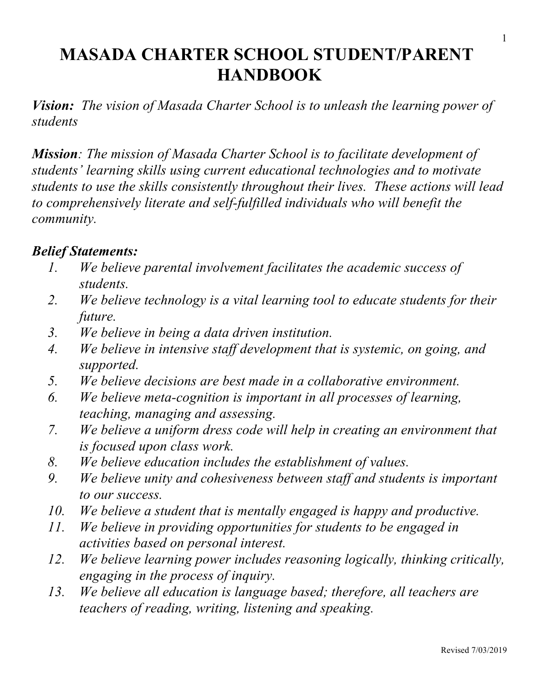# **MASADA CHARTER SCHOOL STUDENT/PARENT HANDBOOK**

*Vision: The vision of Masada Charter School is to unleash the learning power of students*

*Mission: The mission of Masada Charter School is to facilitate development of students' learning skills using current educational technologies and to motivate students to use the skills consistently throughout their lives. These actions will lead to comprehensively literate and self-fulfilled individuals who will benefit the community.*

#### *Belief Statements:*

- *1. We believe parental involvement facilitates the academic success of students.*
- *2. We believe technology is a vital learning tool to educate students for their future.*
- *3. We believe in being a data driven institution.*
- *4. We believe in intensive staff development that is systemic, on going, and supported.*
- *5. We believe decisions are best made in a collaborative environment.*
- *6. We believe meta-cognition is important in all processes of learning, teaching, managing and assessing.*
- *7. We believe a uniform dress code will help in creating an environment that is focused upon class work.*
- *8. We believe education includes the establishment of values.*
- *9. We believe unity and cohesiveness between staff and students is important to our success.*
- *10. We believe a student that is mentally engaged is happy and productive.*
- *11. We believe in providing opportunities for students to be engaged in activities based on personal interest.*
- *12. We believe learning power includes reasoning logically, thinking critically, engaging in the process of inquiry.*
- *13. We believe all education is language based; therefore, all teachers are teachers of reading, writing, listening and speaking.*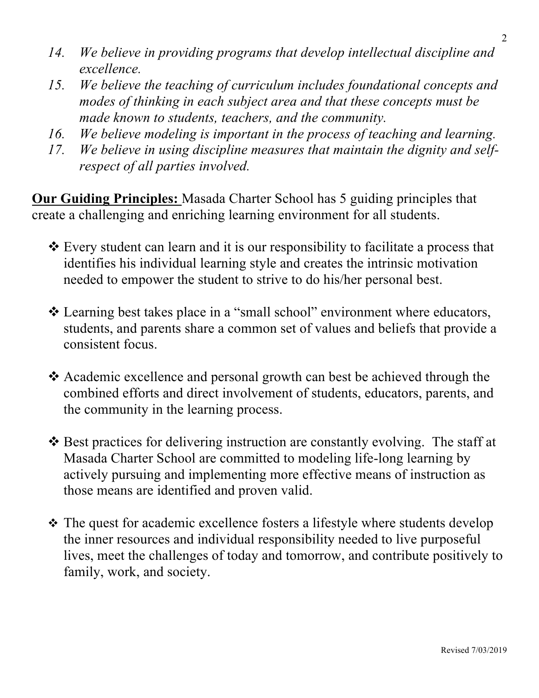- *14. We believe in providing programs that develop intellectual discipline and excellence.*
- *15. We believe the teaching of curriculum includes foundational concepts and modes of thinking in each subject area and that these concepts must be made known to students, teachers, and the community.*
- *16. We believe modeling is important in the process of teaching and learning.*
- *17. We believe in using discipline measures that maintain the dignity and selfrespect of all parties involved.*

**Our Guiding Principles:** Masada Charter School has 5 guiding principles that create a challenging and enriching learning environment for all students.

- Every student can learn and it is our responsibility to facilitate a process that identifies his individual learning style and creates the intrinsic motivation needed to empower the student to strive to do his/her personal best.
- Learning best takes place in a "small school" environment where educators, students, and parents share a common set of values and beliefs that provide a consistent focus.
- Academic excellence and personal growth can best be achieved through the combined efforts and direct involvement of students, educators, parents, and the community in the learning process.
- ◆ Best practices for delivering instruction are constantly evolving. The staff at Masada Charter School are committed to modeling life-long learning by actively pursuing and implementing more effective means of instruction as those means are identified and proven valid.
- The quest for academic excellence fosters a lifestyle where students develop the inner resources and individual responsibility needed to live purposeful lives, meet the challenges of today and tomorrow, and contribute positively to family, work, and society.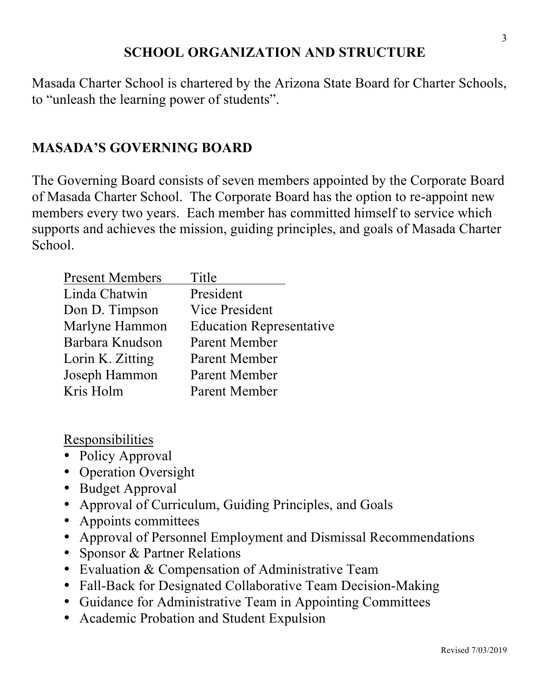## **SCHOOL ORGANIZATION AND STRUCTURE**

Masada Charter School is chartered by the Arizona State Board for Charter Schools, to "unleash the learning power of students".

#### **MASADA'S GOVERNING BOARD**

The Governing Board consists of seven members appointed by the Corporate Board of Masada Charter School. The Corporate Board has the option to re-appoint new members every two years. Each member has committed himself to service which supports and achieves the mission, guiding principles, and goals of Masada Charter School.

| Title                           |
|---------------------------------|
| President                       |
| <b>Vice President</b>           |
| <b>Education Representative</b> |
| Parent Member                   |
| Parent Member                   |
| Parent Member                   |
| Parent Member                   |
|                                 |

Responsibilities

- Policy Approval
- Operation Oversight
- Budget Approval
- Approval of Curriculum, Guiding Principles, and Goals
- Appoints committees
- Approval of Personnel Employment and Dismissal Recommendations
- Sponsor & Partner Relations
- Evaluation & Compensation of Administrative Team
- Fall-Back for Designated Collaborative Team Decision-Making
- Guidance for Administrative Team in Appointing Committees
- Academic Probation and Student Expulsion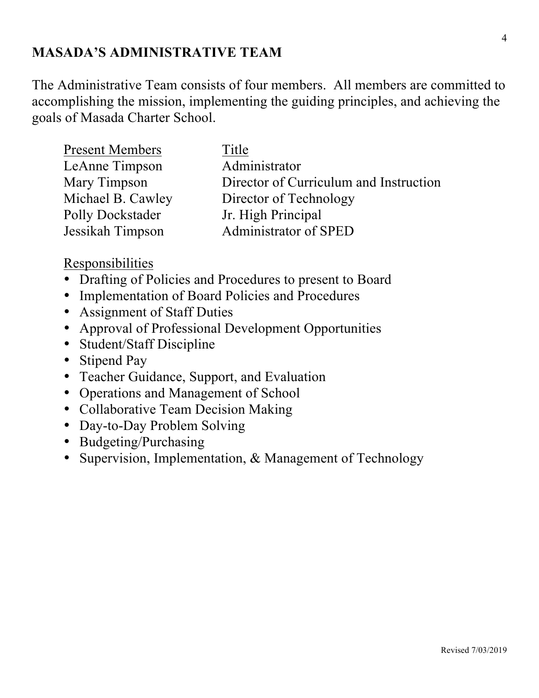## **MASADA'S ADMINISTRATIVE TEAM**

The Administrative Team consists of four members. All members are committed to accomplishing the mission, implementing the guiding principles, and achieving the goals of Masada Charter School.

| <b>Present Members</b> | Title                                  |
|------------------------|----------------------------------------|
| LeAnne Timpson         | Administrator                          |
| Mary Timpson           | Director of Curriculum and Instruction |
| Michael B. Cawley      | Director of Technology                 |
| Polly Dockstader       | Jr. High Principal                     |
| Jessikah Timpson       | Administrator of SPED                  |

#### Responsibilities

- Drafting of Policies and Procedures to present to Board
- Implementation of Board Policies and Procedures
- Assignment of Staff Duties
- Approval of Professional Development Opportunities
- Student/Staff Discipline
- Stipend Pay
- Teacher Guidance, Support, and Evaluation
- Operations and Management of School
- Collaborative Team Decision Making
- Day-to-Day Problem Solving
- Budgeting/Purchasing
- Supervision, Implementation, & Management of Technology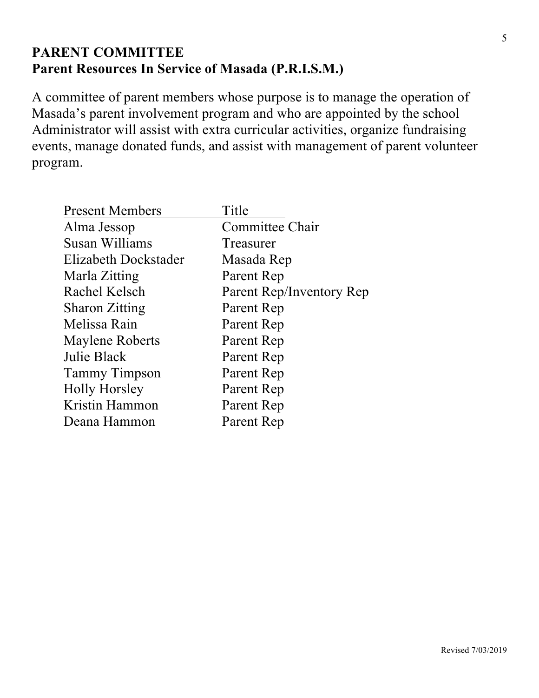## **PARENT COMMITTEE Parent Resources In Service of Masada (P.R.I.S.M.)**

A committee of parent members whose purpose is to manage the operation of Masada's parent involvement program and who are appointed by the school Administrator will assist with extra curricular activities, organize fundraising events, manage donated funds, and assist with management of parent volunteer program.

| <b>Present Members</b> | Title                    |
|------------------------|--------------------------|
| Alma Jessop            | Committee Chair          |
| Susan Williams         | Treasurer                |
| Elizabeth Dockstader   | Masada Rep               |
| Marla Zitting          | Parent Rep               |
| Rachel Kelsch          | Parent Rep/Inventory Rep |
| <b>Sharon Zitting</b>  | Parent Rep               |
| Melissa Rain           | Parent Rep               |
| <b>Maylene Roberts</b> | Parent Rep               |
| Julie Black            | Parent Rep               |
| <b>Tammy Timpson</b>   | Parent Rep               |
| <b>Holly Horsley</b>   | Parent Rep               |
| Kristin Hammon         | Parent Rep               |
| Deana Hammon           | Parent Rep               |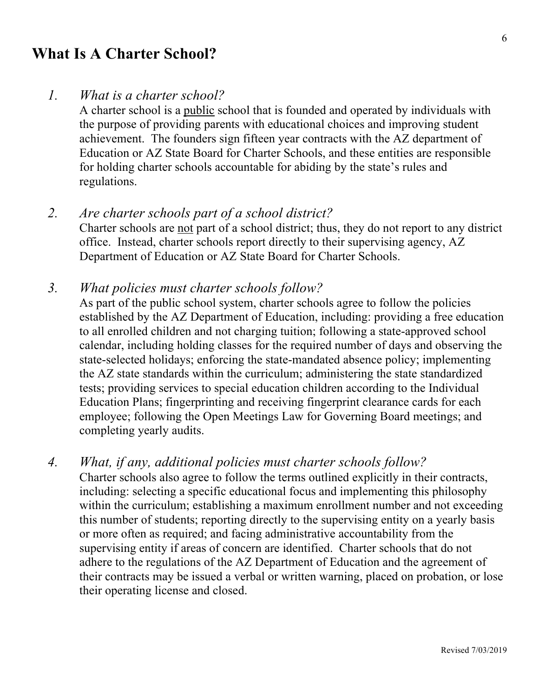## **What Is A Charter School?**

#### *1. What is a charter school?*

A charter school is a public school that is founded and operated by individuals with the purpose of providing parents with educational choices and improving student achievement. The founders sign fifteen year contracts with the AZ department of Education or AZ State Board for Charter Schools, and these entities are responsible for holding charter schools accountable for abiding by the state's rules and regulations.

*2. Are charter schools part of a school district?* Charter schools are not part of a school district; thus, they do not report to any district office. Instead, charter schools report directly to their supervising agency, AZ Department of Education or AZ State Board for Charter Schools.

#### *3. What policies must charter schools follow?*

As part of the public school system, charter schools agree to follow the policies established by the AZ Department of Education, including: providing a free education to all enrolled children and not charging tuition; following a state-approved school calendar, including holding classes for the required number of days and observing the state-selected holidays; enforcing the state-mandated absence policy; implementing the AZ state standards within the curriculum; administering the state standardized tests; providing services to special education children according to the Individual Education Plans; fingerprinting and receiving fingerprint clearance cards for each employee; following the Open Meetings Law for Governing Board meetings; and completing yearly audits.

*4. What, if any, additional policies must charter schools follow?*

Charter schools also agree to follow the terms outlined explicitly in their contracts, including: selecting a specific educational focus and implementing this philosophy within the curriculum; establishing a maximum enrollment number and not exceeding this number of students; reporting directly to the supervising entity on a yearly basis or more often as required; and facing administrative accountability from the supervising entity if areas of concern are identified. Charter schools that do not adhere to the regulations of the AZ Department of Education and the agreement of their contracts may be issued a verbal or written warning, placed on probation, or lose their operating license and closed.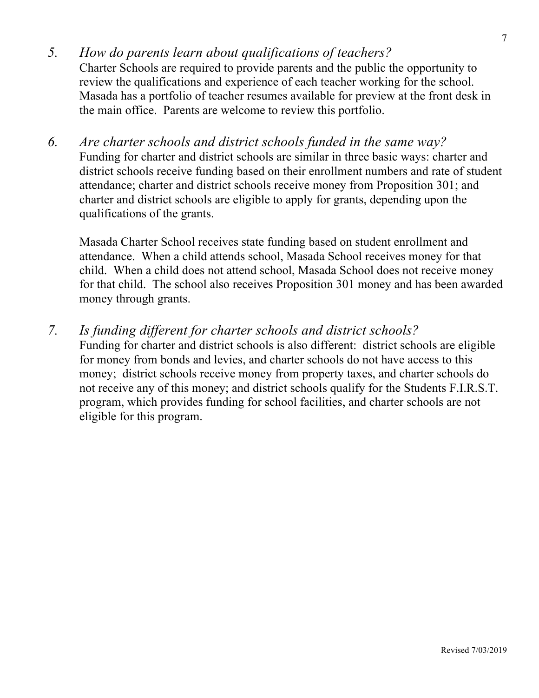- *5. How do parents learn about qualifications of teachers?*  Charter Schools are required to provide parents and the public the opportunity to review the qualifications and experience of each teacher working for the school. Masada has a portfolio of teacher resumes available for preview at the front desk in the main office. Parents are welcome to review this portfolio.
- *6. Are charter schools and district schools funded in the same way?* Funding for charter and district schools are similar in three basic ways: charter and district schools receive funding based on their enrollment numbers and rate of student attendance; charter and district schools receive money from Proposition 301; and charter and district schools are eligible to apply for grants, depending upon the qualifications of the grants.

Masada Charter School receives state funding based on student enrollment and attendance. When a child attends school, Masada School receives money for that child. When a child does not attend school, Masada School does not receive money for that child. The school also receives Proposition 301 money and has been awarded money through grants.

*7. Is funding different for charter schools and district schools?* Funding for charter and district schools is also different: district schools are eligible for money from bonds and levies, and charter schools do not have access to this money; district schools receive money from property taxes, and charter schools do not receive any of this money; and district schools qualify for the Students F.I.R.S.T. program, which provides funding for school facilities, and charter schools are not eligible for this program.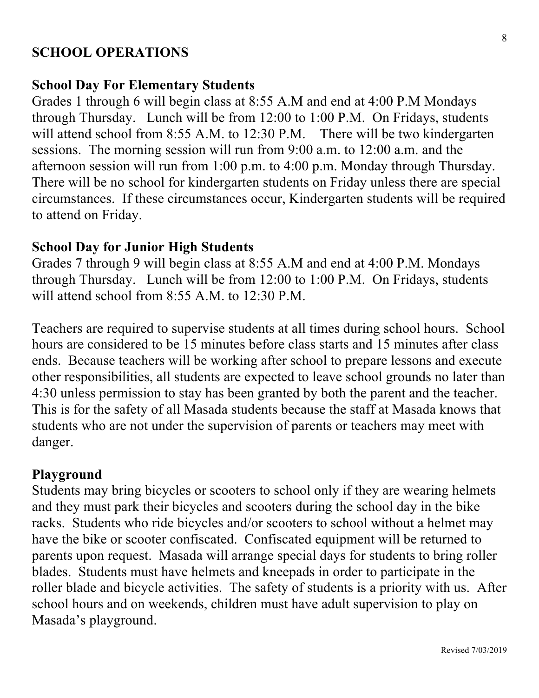#### **SCHOOL OPERATIONS**

#### **School Day For Elementary Students**

Grades 1 through 6 will begin class at 8:55 A.M and end at 4:00 P.M Mondays through Thursday. Lunch will be from 12:00 to 1:00 P.M. On Fridays, students will attend school from 8:55 A.M. to 12:30 P.M. There will be two kindergarten sessions. The morning session will run from 9:00 a.m. to 12:00 a.m. and the afternoon session will run from 1:00 p.m. to 4:00 p.m. Monday through Thursday. There will be no school for kindergarten students on Friday unless there are special circumstances. If these circumstances occur, Kindergarten students will be required to attend on Friday.

#### **School Day for Junior High Students**

Grades 7 through 9 will begin class at 8:55 A.M and end at 4:00 P.M. Mondays through Thursday. Lunch will be from 12:00 to 1:00 P.M. On Fridays, students will attend school from 8:55 A.M. to 12:30 P.M.

Teachers are required to supervise students at all times during school hours. School hours are considered to be 15 minutes before class starts and 15 minutes after class ends. Because teachers will be working after school to prepare lessons and execute other responsibilities, all students are expected to leave school grounds no later than 4:30 unless permission to stay has been granted by both the parent and the teacher. This is for the safety of all Masada students because the staff at Masada knows that students who are not under the supervision of parents or teachers may meet with danger.

#### **Playground**

Students may bring bicycles or scooters to school only if they are wearing helmets and they must park their bicycles and scooters during the school day in the bike racks. Students who ride bicycles and/or scooters to school without a helmet may have the bike or scooter confiscated. Confiscated equipment will be returned to parents upon request. Masada will arrange special days for students to bring roller blades. Students must have helmets and kneepads in order to participate in the roller blade and bicycle activities. The safety of students is a priority with us. After school hours and on weekends, children must have adult supervision to play on Masada's playground.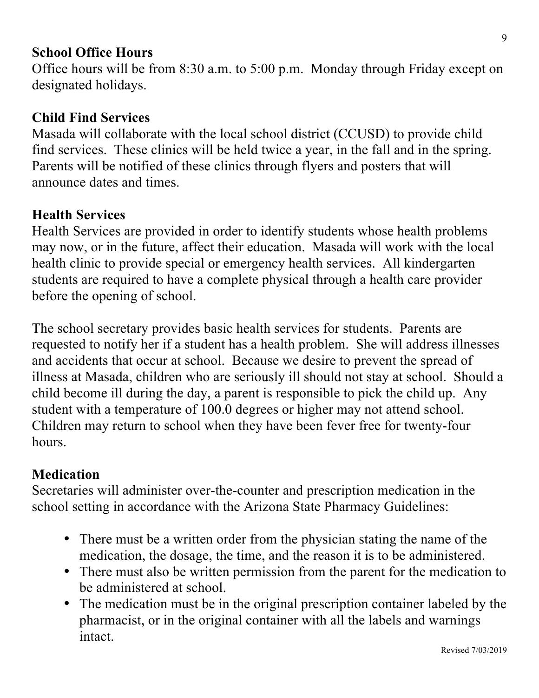#### **School Office Hours**

Office hours will be from 8:30 a.m. to 5:00 p.m. Monday through Friday except on designated holidays.

#### **Child Find Services**

Masada will collaborate with the local school district (CCUSD) to provide child find services. These clinics will be held twice a year, in the fall and in the spring. Parents will be notified of these clinics through flyers and posters that will announce dates and times.

#### **Health Services**

Health Services are provided in order to identify students whose health problems may now, or in the future, affect their education. Masada will work with the local health clinic to provide special or emergency health services. All kindergarten students are required to have a complete physical through a health care provider before the opening of school.

The school secretary provides basic health services for students. Parents are requested to notify her if a student has a health problem. She will address illnesses and accidents that occur at school. Because we desire to prevent the spread of illness at Masada, children who are seriously ill should not stay at school. Should a child become ill during the day, a parent is responsible to pick the child up. Any student with a temperature of 100.0 degrees or higher may not attend school. Children may return to school when they have been fever free for twenty-four hours.

#### **Medication**

Secretaries will administer over-the-counter and prescription medication in the school setting in accordance with the Arizona State Pharmacy Guidelines:

- There must be a written order from the physician stating the name of the medication, the dosage, the time, and the reason it is to be administered.
- There must also be written permission from the parent for the medication to be administered at school.
- The medication must be in the original prescription container labeled by the pharmacist, or in the original container with all the labels and warnings intact.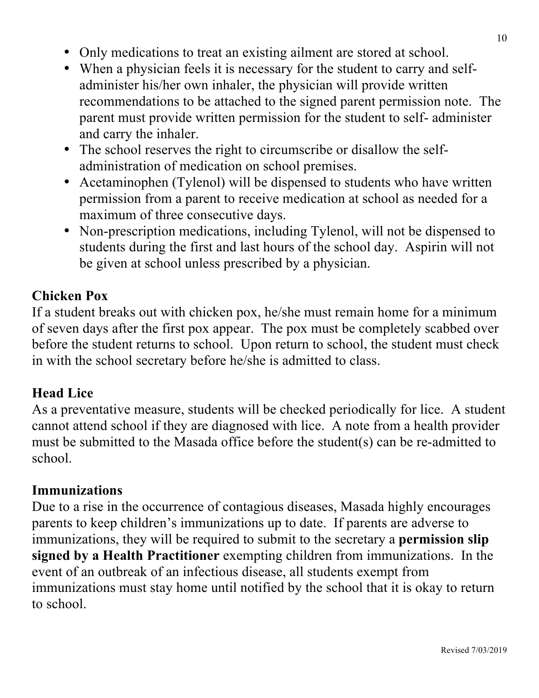- Only medications to treat an existing ailment are stored at school.
- When a physician feels it is necessary for the student to carry and selfadminister his/her own inhaler, the physician will provide written recommendations to be attached to the signed parent permission note. The parent must provide written permission for the student to self- administer and carry the inhaler.
- The school reserves the right to circumscribe or disallow the selfadministration of medication on school premises.
- Acetaminophen (Tylenol) will be dispensed to students who have written permission from a parent to receive medication at school as needed for a maximum of three consecutive days.
- Non-prescription medications, including Tylenol, will not be dispensed to students during the first and last hours of the school day. Aspirin will not be given at school unless prescribed by a physician.

## **Chicken Pox**

If a student breaks out with chicken pox, he/she must remain home for a minimum of seven days after the first pox appear. The pox must be completely scabbed over before the student returns to school. Upon return to school, the student must check in with the school secretary before he/she is admitted to class.

#### **Head Lice**

As a preventative measure, students will be checked periodically for lice. A student cannot attend school if they are diagnosed with lice. A note from a health provider must be submitted to the Masada office before the student(s) can be re-admitted to school.

#### **Immunizations**

Due to a rise in the occurrence of contagious diseases, Masada highly encourages parents to keep children's immunizations up to date. If parents are adverse to immunizations, they will be required to submit to the secretary a **permission slip signed by a Health Practitioner** exempting children from immunizations. In the event of an outbreak of an infectious disease, all students exempt from immunizations must stay home until notified by the school that it is okay to return to school.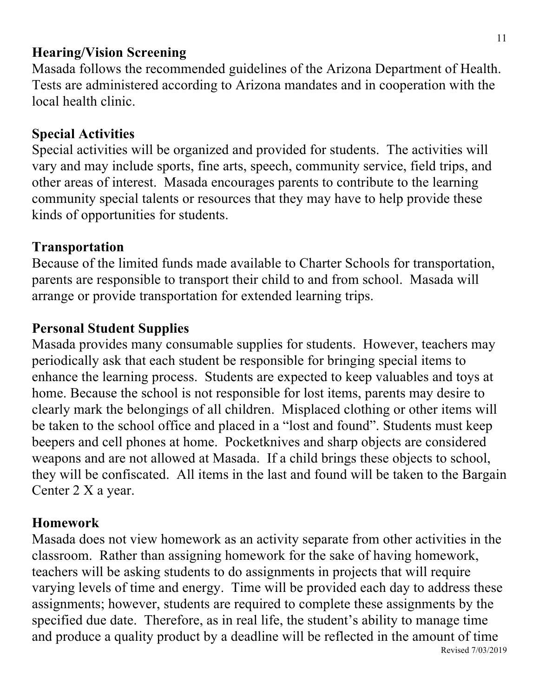## **Hearing/Vision Screening**

Masada follows the recommended guidelines of the Arizona Department of Health. Tests are administered according to Arizona mandates and in cooperation with the local health clinic.

## **Special Activities**

Special activities will be organized and provided for students. The activities will vary and may include sports, fine arts, speech, community service, field trips, and other areas of interest. Masada encourages parents to contribute to the learning community special talents or resources that they may have to help provide these kinds of opportunities for students.

## **Transportation**

Because of the limited funds made available to Charter Schools for transportation, parents are responsible to transport their child to and from school. Masada will arrange or provide transportation for extended learning trips.

## **Personal Student Supplies**

Masada provides many consumable supplies for students. However, teachers may periodically ask that each student be responsible for bringing special items to enhance the learning process. Students are expected to keep valuables and toys at home. Because the school is not responsible for lost items, parents may desire to clearly mark the belongings of all children. Misplaced clothing or other items will be taken to the school office and placed in a "lost and found". Students must keep beepers and cell phones at home. Pocketknives and sharp objects are considered weapons and are not allowed at Masada. If a child brings these objects to school, they will be confiscated. All items in the last and found will be taken to the Bargain Center 2 X a year.

## **Homework**

Revised 7/03/2019 Masada does not view homework as an activity separate from other activities in the classroom. Rather than assigning homework for the sake of having homework, teachers will be asking students to do assignments in projects that will require varying levels of time and energy. Time will be provided each day to address these assignments; however, students are required to complete these assignments by the specified due date. Therefore, as in real life, the student's ability to manage time and produce a quality product by a deadline will be reflected in the amount of time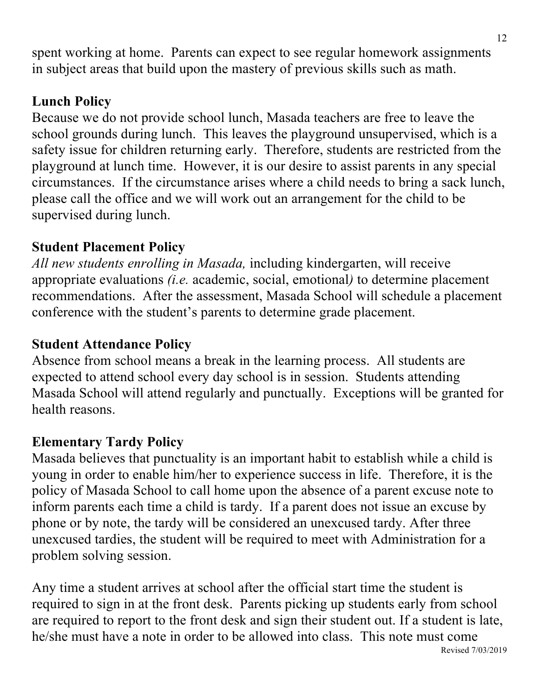spent working at home. Parents can expect to see regular homework assignments in subject areas that build upon the mastery of previous skills such as math.

## **Lunch Policy**

Because we do not provide school lunch, Masada teachers are free to leave the school grounds during lunch. This leaves the playground unsupervised, which is a safety issue for children returning early. Therefore, students are restricted from the playground at lunch time. However, it is our desire to assist parents in any special circumstances. If the circumstance arises where a child needs to bring a sack lunch, please call the office and we will work out an arrangement for the child to be supervised during lunch.

## **Student Placement Policy**

*All new students enrolling in Masada,* including kindergarten, will receive appropriate evaluations *(i.e.* academic, social, emotional*)* to determine placement recommendations. After the assessment, Masada School will schedule a placement conference with the student's parents to determine grade placement.

## **Student Attendance Policy**

Absence from school means a break in the learning process. All students are expected to attend school every day school is in session. Students attending Masada School will attend regularly and punctually. Exceptions will be granted for health reasons.

## **Elementary Tardy Policy**

Masada believes that punctuality is an important habit to establish while a child is young in order to enable him/her to experience success in life. Therefore, it is the policy of Masada School to call home upon the absence of a parent excuse note to inform parents each time a child is tardy. If a parent does not issue an excuse by phone or by note, the tardy will be considered an unexcused tardy. After three unexcused tardies, the student will be required to meet with Administration for a problem solving session.

Revised 7/03/2019 Any time a student arrives at school after the official start time the student is required to sign in at the front desk. Parents picking up students early from school are required to report to the front desk and sign their student out. If a student is late, he/she must have a note in order to be allowed into class. This note must come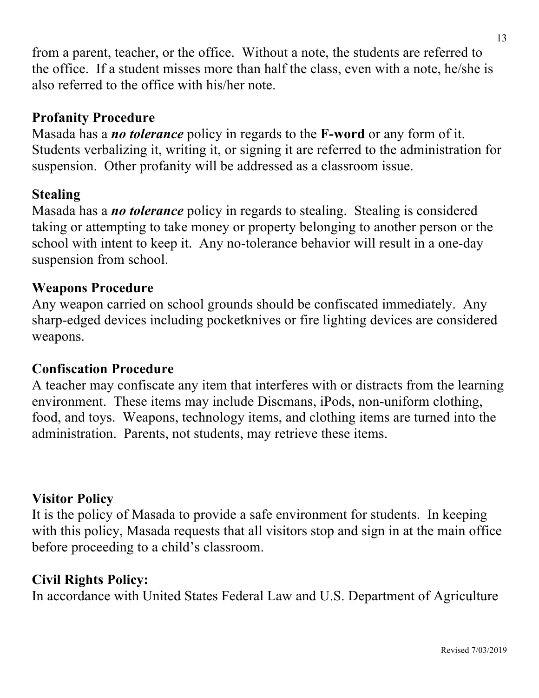from a parent, teacher, or the office. Without a note, the students are referred to the office. If a student misses more than half the class, even with a note, he/she is also referred to the office with his/her note.

## **Profanity Procedure**

Masada has a *no tolerance* policy in regards to the **F-word** or any form of it. Students verbalizing it, writing it, or signing it are referred to the administration for suspension. Other profanity will be addressed as a classroom issue.

#### **Stealing**

Masada has a *no tolerance* policy in regards to stealing. Stealing is considered taking or attempting to take money or property belonging to another person or the school with intent to keep it. Any no-tolerance behavior will result in a one-day suspension from school.

#### **Weapons Procedure**

Any weapon carried on school grounds should be confiscated immediately. Any sharp-edged devices including pocketknives or fire lighting devices are considered weapons.

#### **Confiscation Procedure**

A teacher may confiscate any item that interferes with or distracts from the learning environment. These items may include Discmans, iPods, non-uniform clothing, food, and toys. Weapons, technology items, and clothing items are turned into the administration. Parents, not students, may retrieve these items.

#### **Visitor Policy**

It is the policy of Masada to provide a safe environment for students. In keeping with this policy, Masada requests that all visitors stop and sign in at the main office before proceeding to a child's classroom.

#### **Civil Rights Policy:**

In accordance with United States Federal Law and U.S. Department of Agriculture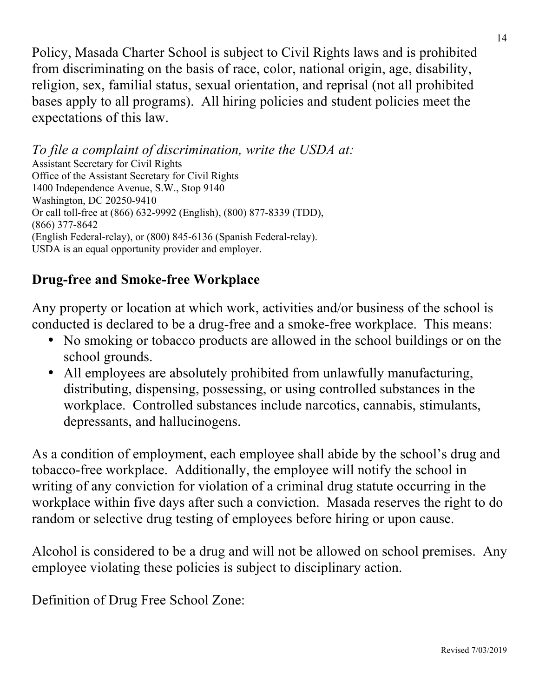Policy, Masada Charter School is subject to Civil Rights laws and is prohibited from discriminating on the basis of race, color, national origin, age, disability, religion, sex, familial status, sexual orientation, and reprisal (not all prohibited bases apply to all programs). All hiring policies and student policies meet the expectations of this law.

*To file a complaint of discrimination, write the USDA at:* Assistant Secretary for Civil Rights Office of the Assistant Secretary for Civil Rights 1400 Independence Avenue, S.W., Stop 9140 Washington, DC 20250-9410 Or call toll-free at (866) 632-9992 (English), (800) 877-8339 (TDD), (866) 377-8642 (English Federal-relay), or (800) 845-6136 (Spanish Federal-relay). USDA is an equal opportunity provider and employer.

## **Drug-free and Smoke-free Workplace**

Any property or location at which work, activities and/or business of the school is conducted is declared to be a drug-free and a smoke-free workplace. This means:

- No smoking or tobacco products are allowed in the school buildings or on the school grounds.
- All employees are absolutely prohibited from unlawfully manufacturing, distributing, dispensing, possessing, or using controlled substances in the workplace. Controlled substances include narcotics, cannabis, stimulants, depressants, and hallucinogens.

As a condition of employment, each employee shall abide by the school's drug and tobacco-free workplace. Additionally, the employee will notify the school in writing of any conviction for violation of a criminal drug statute occurring in the workplace within five days after such a conviction. Masada reserves the right to do random or selective drug testing of employees before hiring or upon cause.

Alcohol is considered to be a drug and will not be allowed on school premises. Any employee violating these policies is subject to disciplinary action.

Definition of Drug Free School Zone: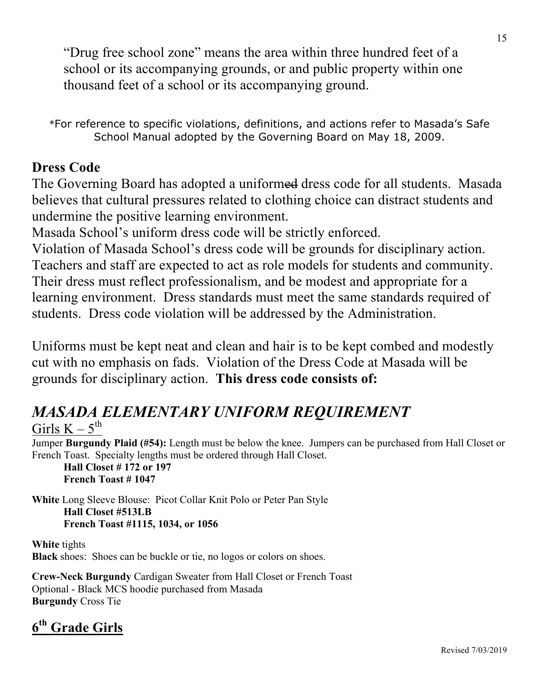"Drug free school zone" means the area within three hundred feet of a school or its accompanying grounds, or and public property within one thousand feet of a school or its accompanying ground.

\*For reference to specific violations, definitions, and actions refer to Masada's Safe School Manual adopted by the Governing Board on May 18, 2009.

## **Dress Code**

The Governing Board has adopted a uniformed dress code for all students. Masada believes that cultural pressures related to clothing choice can distract students and undermine the positive learning environment.

Masada School's uniform dress code will be strictly enforced.

Violation of Masada School's dress code will be grounds for disciplinary action. Teachers and staff are expected to act as role models for students and community. Their dress must reflect professionalism, and be modest and appropriate for a learning environment. Dress standards must meet the same standards required of students. Dress code violation will be addressed by the Administration.

Uniforms must be kept neat and clean and hair is to be kept combed and modestly cut with no emphasis on fads. Violation of the Dress Code at Masada will be grounds for disciplinary action. **This dress code consists of:**

# *MASADA ELEMENTARY UNIFORM REQUIREMENT*

#### Girls  $K - 5^{th}$

Jumper **Burgundy Plaid (#54):** Length must be below the knee. Jumpers can be purchased from Hall Closet or French Toast. Specialty lengths must be ordered through Hall Closet.

**Hall Closet # 172 or 197 French Toast # 1047**

**White** Long Sleeve Blouse: Picot Collar Knit Polo or Peter Pan Style **Hall Closet #513LB French Toast #1115, 1034, or 1056**

**White** tights **Black** shoes: Shoes can be buckle or tie, no logos or colors on shoes.

**Crew-Neck Burgundy** Cardigan Sweater from Hall Closet or French Toast Optional - Black MCS hoodie purchased from Masada **Burgundy** Cross Tie

## **6th Grade Girls**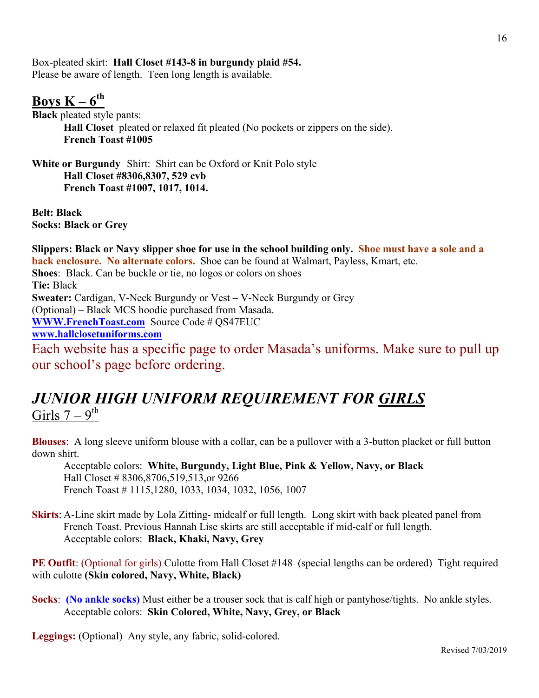Box-pleated skirt: **Hall Closet #143-8 in burgundy plaid #54.** Please be aware of length. Teen long length is available.

#### **Boys**  $K - 6^{th}$

**Black** pleated style pants: **Hall Closet** pleated or relaxed fit pleated (No pockets or zippers on the side). **French Toast #1005**

**White or Burgundy** Shirt:Shirt can be Oxford or Knit Polo style **Hall Closet #8306,8307, 529 cvb French Toast #1007, 1017, 1014.**

**Belt: Black Socks: Black or Grey**

**Slippers: Black or Navy slipper shoe for use in the school building only. Shoe must have a sole and a back enclosure. No alternate colors.** Shoe can be found at Walmart, Payless, Kmart, etc. **Shoes**: Black. Can be buckle or tie, no logos or colors on shoes **Tie:** Black **Sweater:** Cardigan, V-Neck Burgundy or Vest – V-Neck Burgundy or Grey (Optional) – Black MCS hoodie purchased from Masada. **WWW.FrenchToast.com** Source Code # QS47EUC **www.hallclosetuniforms.com** Each website has a specific page to order Masada's uniforms. Make sure to pull up our school's page before ordering.

## *JUNIOR HIGH UNIFORM REQUIREMENT FOR GIRLS* Girls  $7 - 9$ <sup>th</sup>

**Blouses**: A long sleeve uniform blouse with a collar, can be a pullover with a 3-button placket or full button down shirt.

Acceptable colors: **White, Burgundy, Light Blue, Pink & Yellow, Navy, or Black** Hall Closet # 8306,8706,519,513,or 9266 French Toast # 1115,1280, 1033, 1034, 1032, 1056, 1007

**Skirts**: A-Line skirt made by Lola Zitting- midcalf or full length. Long skirt with back pleated panel from French Toast. Previous Hannah Lise skirts are still acceptable if mid-calf or full length. Acceptable colors: **Black, Khaki, Navy, Grey**

**PE Outfit:** (Optional for girls) Culotte from Hall Closet #148 (special lengths can be ordered) Tight required with culotte **(Skin colored, Navy, White, Black)**

**Socks**: **(No ankle socks)** Must either be a trouser sock that is calf high or pantyhose/tights. No ankle styles. Acceptable colors: **Skin Colored, White, Navy, Grey, or Black**

**Leggings:** (Optional) Any style, any fabric, solid-colored.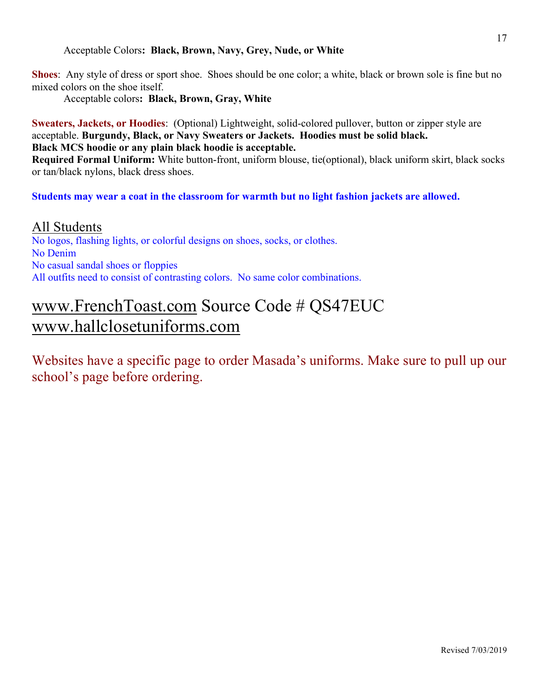#### Acceptable Colors**: Black, Brown, Navy, Grey, Nude, or White**

**Shoes**: Any style of dress or sport shoe. Shoes should be one color; a white, black or brown sole is fine but no mixed colors on the shoe itself.

Acceptable colors**: Black, Brown, Gray, White**

**Sweaters, Jackets, or Hoodies**: (Optional) Lightweight, solid-colored pullover, button or zipper style are acceptable. **Burgundy, Black, or Navy Sweaters or Jackets. Hoodies must be solid black. Black MCS hoodie or any plain black hoodie is acceptable.**

**Required Formal Uniform:** White button-front, uniform blouse, tie(optional), black uniform skirt, black socks or tan/black nylons, black dress shoes.

**Students may wear a coat in the classroom for warmth but no light fashion jackets are allowed.**

All Students No logos, flashing lights, or colorful designs on shoes, socks, or clothes. No Denim No casual sandal shoes or floppies All outfits need to consist of contrasting colors. No same color combinations.

# www.FrenchToast.com Source Code # QS47EUC www.hallclosetuniforms.com

Websites have a specific page to order Masada's uniforms. Make sure to pull up our school's page before ordering.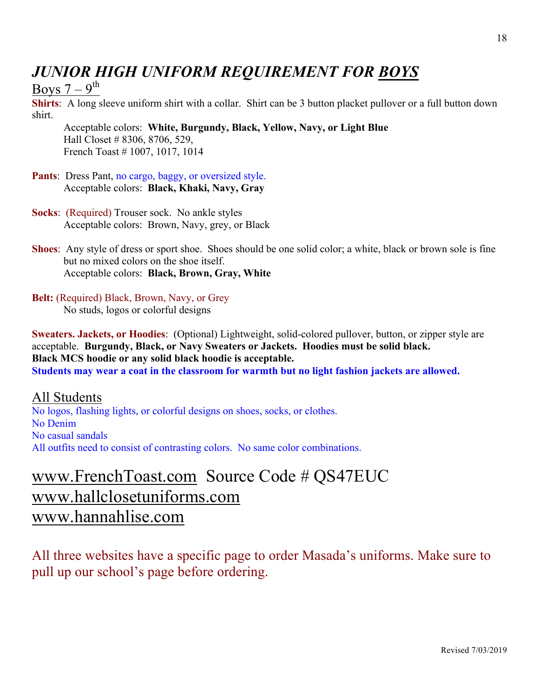# *JUNIOR HIGH UNIFORM REQUIREMENT FOR BOYS*

Boys  $7-9$ <sup>th</sup>

**Shirts**: A long sleeve uniform shirt with a collar. Shirt can be 3 button placket pullover or a full button down shirt.

Acceptable colors: **White, Burgundy, Black, Yellow, Navy, or Light Blue** Hall Closet # 8306, 8706, 529, French Toast # 1007, 1017, 1014

- **Pants**: Dress Pant, no cargo, baggy, or oversized style. Acceptable colors: **Black, Khaki, Navy, Gray**
- **Socks**: (Required) Trouser sock. No ankle styles Acceptable colors: Brown, Navy, grey, or Black
- **Shoes**: Any style of dress or sport shoe. Shoes should be one solid color; a white, black or brown sole is fine but no mixed colors on the shoe itself. Acceptable colors: **Black, Brown, Gray, White**
- **Belt:** (Required) Black, Brown, Navy, or Grey No studs, logos or colorful designs

**Sweaters. Jackets, or Hoodies**: (Optional) Lightweight, solid-colored pullover, button, or zipper style are acceptable. **Burgundy, Black, or Navy Sweaters or Jackets. Hoodies must be solid black. Black MCS hoodie or any solid black hoodie is acceptable. Students may wear a coat in the classroom for warmth but no light fashion jackets are allowed.**

All Students No logos, flashing lights, or colorful designs on shoes, socks, or clothes. No Denim No casual sandals All outfits need to consist of contrasting colors. No same color combinations.

# www.FrenchToast.com Source Code # QS47EUC www.hallclosetuniforms.com www.hannahlise.com

All three websites have a specific page to order Masada's uniforms. Make sure to pull up our school's page before ordering.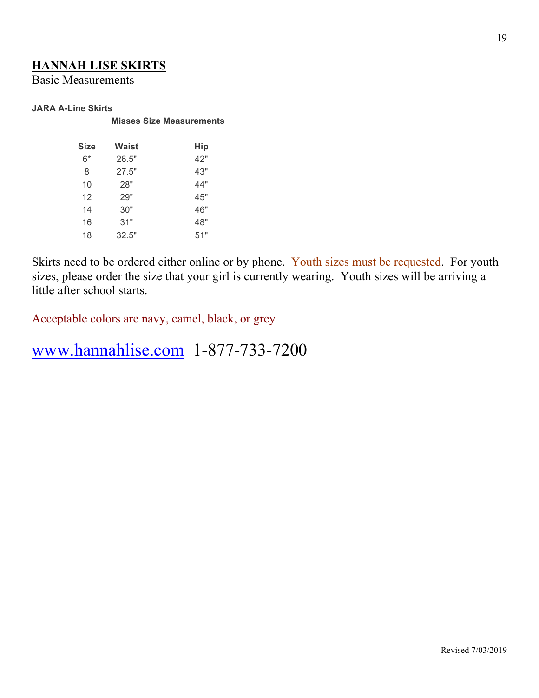#### **HANNAH LISE SKIRTS**

Basic Measurements

#### **JARA A-Line Skirts**

**Misses Size Measurements**

| Size | Waist | Hip |
|------|-------|-----|
| 6*   | 26.5" | 42" |
| 8    | 27.5" | 43" |
| 10   | 28"   | 44" |
| 12   | 29"   | 45" |
| 14   | 30"   | 46" |
| 16   | 31"   | 48" |
| 18   | 32.5" | 51" |

Skirts need to be ordered either online or by phone. Youth sizes must be requested. For youth sizes, please order the size that your girl is currently wearing. Youth sizes will be arriving a little after school starts.

Acceptable colors are navy, camel, black, or grey

www.hannahlise.com 1-877-733-7200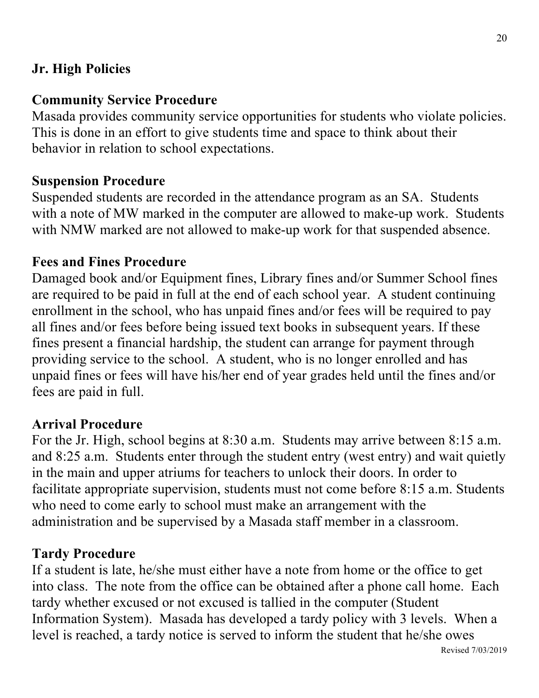## **Jr. High Policies**

## **Community Service Procedure**

Masada provides community service opportunities for students who violate policies. This is done in an effort to give students time and space to think about their behavior in relation to school expectations.

#### **Suspension Procedure**

Suspended students are recorded in the attendance program as an SA. Students with a note of MW marked in the computer are allowed to make-up work. Students with NMW marked are not allowed to make-up work for that suspended absence.

#### **Fees and Fines Procedure**

Damaged book and/or Equipment fines, Library fines and/or Summer School fines are required to be paid in full at the end of each school year. A student continuing enrollment in the school, who has unpaid fines and/or fees will be required to pay all fines and/or fees before being issued text books in subsequent years. If these fines present a financial hardship, the student can arrange for payment through providing service to the school. A student, who is no longer enrolled and has unpaid fines or fees will have his/her end of year grades held until the fines and/or fees are paid in full.

#### **Arrival Procedure**

For the Jr. High, school begins at 8:30 a.m. Students may arrive between 8:15 a.m. and 8:25 a.m. Students enter through the student entry (west entry) and wait quietly in the main and upper atriums for teachers to unlock their doors. In order to facilitate appropriate supervision, students must not come before 8:15 a.m. Students who need to come early to school must make an arrangement with the administration and be supervised by a Masada staff member in a classroom.

#### **Tardy Procedure**

If a student is late, he/she must either have a note from home or the office to get into class. The note from the office can be obtained after a phone call home. Each tardy whether excused or not excused is tallied in the computer (Student Information System). Masada has developed a tardy policy with 3 levels. When a level is reached, a tardy notice is served to inform the student that he/she owes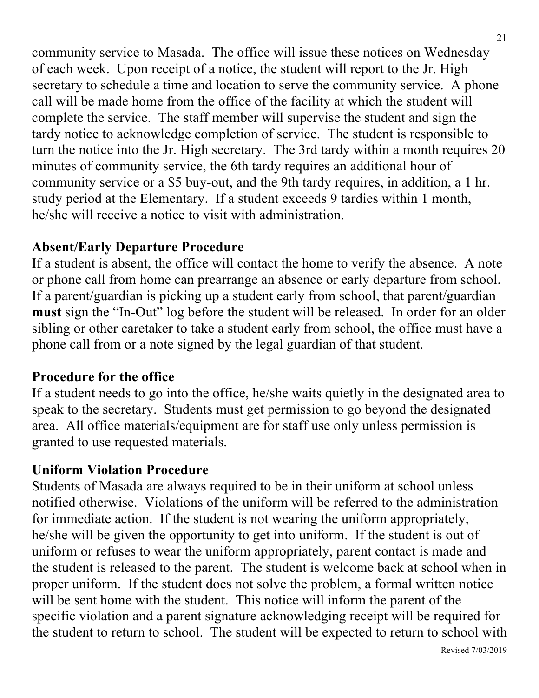community service to Masada. The office will issue these notices on Wednesday of each week. Upon receipt of a notice, the student will report to the Jr. High secretary to schedule a time and location to serve the community service. A phone call will be made home from the office of the facility at which the student will complete the service. The staff member will supervise the student and sign the tardy notice to acknowledge completion of service. The student is responsible to turn the notice into the Jr. High secretary. The 3rd tardy within a month requires 20 minutes of community service, the 6th tardy requires an additional hour of community service or a \$5 buy-out, and the 9th tardy requires, in addition, a 1 hr. study period at the Elementary. If a student exceeds 9 tardies within 1 month, he/she will receive a notice to visit with administration.

## **Absent/Early Departure Procedure**

If a student is absent, the office will contact the home to verify the absence. A note or phone call from home can prearrange an absence or early departure from school. If a parent/guardian is picking up a student early from school, that parent/guardian **must** sign the "In-Out" log before the student will be released. In order for an older sibling or other caretaker to take a student early from school, the office must have a phone call from or a note signed by the legal guardian of that student.

## **Procedure for the office**

If a student needs to go into the office, he/she waits quietly in the designated area to speak to the secretary. Students must get permission to go beyond the designated area. All office materials/equipment are for staff use only unless permission is granted to use requested materials.

## **Uniform Violation Procedure**

Students of Masada are always required to be in their uniform at school unless notified otherwise. Violations of the uniform will be referred to the administration for immediate action. If the student is not wearing the uniform appropriately, he/she will be given the opportunity to get into uniform. If the student is out of uniform or refuses to wear the uniform appropriately, parent contact is made and the student is released to the parent. The student is welcome back at school when in proper uniform. If the student does not solve the problem, a formal written notice will be sent home with the student. This notice will inform the parent of the specific violation and a parent signature acknowledging receipt will be required for the student to return to school. The student will be expected to return to school with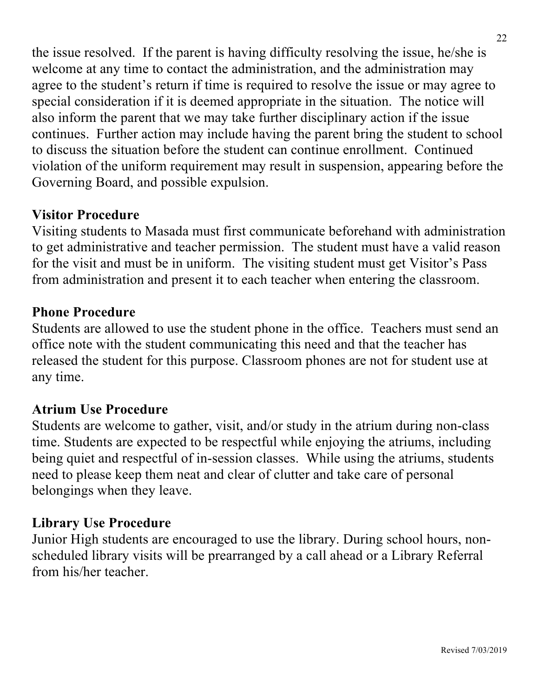the issue resolved. If the parent is having difficulty resolving the issue, he/she is welcome at any time to contact the administration, and the administration may agree to the student's return if time is required to resolve the issue or may agree to special consideration if it is deemed appropriate in the situation. The notice will also inform the parent that we may take further disciplinary action if the issue continues. Further action may include having the parent bring the student to school to discuss the situation before the student can continue enrollment. Continued violation of the uniform requirement may result in suspension, appearing before the Governing Board, and possible expulsion.

## **Visitor Procedure**

Visiting students to Masada must first communicate beforehand with administration to get administrative and teacher permission. The student must have a valid reason for the visit and must be in uniform. The visiting student must get Visitor's Pass from administration and present it to each teacher when entering the classroom.

#### **Phone Procedure**

Students are allowed to use the student phone in the office. Teachers must send an office note with the student communicating this need and that the teacher has released the student for this purpose. Classroom phones are not for student use at any time.

#### **Atrium Use Procedure**

Students are welcome to gather, visit, and/or study in the atrium during non-class time. Students are expected to be respectful while enjoying the atriums, including being quiet and respectful of in-session classes. While using the atriums, students need to please keep them neat and clear of clutter and take care of personal belongings when they leave.

#### **Library Use Procedure**

Junior High students are encouraged to use the library. During school hours, nonscheduled library visits will be prearranged by a call ahead or a Library Referral from his/her teacher.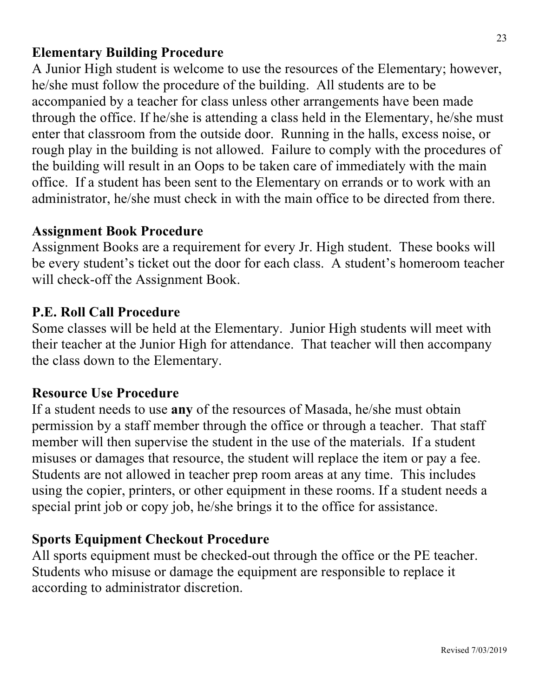## **Elementary Building Procedure**

A Junior High student is welcome to use the resources of the Elementary; however, he/she must follow the procedure of the building. All students are to be accompanied by a teacher for class unless other arrangements have been made through the office. If he/she is attending a class held in the Elementary, he/she must enter that classroom from the outside door. Running in the halls, excess noise, or rough play in the building is not allowed. Failure to comply with the procedures of the building will result in an Oops to be taken care of immediately with the main office. If a student has been sent to the Elementary on errands or to work with an administrator, he/she must check in with the main office to be directed from there.

#### **Assignment Book Procedure**

Assignment Books are a requirement for every Jr. High student. These books will be every student's ticket out the door for each class. A student's homeroom teacher will check-off the Assignment Book.

#### **P.E. Roll Call Procedure**

Some classes will be held at the Elementary. Junior High students will meet with their teacher at the Junior High for attendance. That teacher will then accompany the class down to the Elementary.

#### **Resource Use Procedure**

If a student needs to use **any** of the resources of Masada, he/she must obtain permission by a staff member through the office or through a teacher. That staff member will then supervise the student in the use of the materials. If a student misuses or damages that resource, the student will replace the item or pay a fee. Students are not allowed in teacher prep room areas at any time. This includes using the copier, printers, or other equipment in these rooms. If a student needs a special print job or copy job, he/she brings it to the office for assistance.

#### **Sports Equipment Checkout Procedure**

All sports equipment must be checked-out through the office or the PE teacher. Students who misuse or damage the equipment are responsible to replace it according to administrator discretion.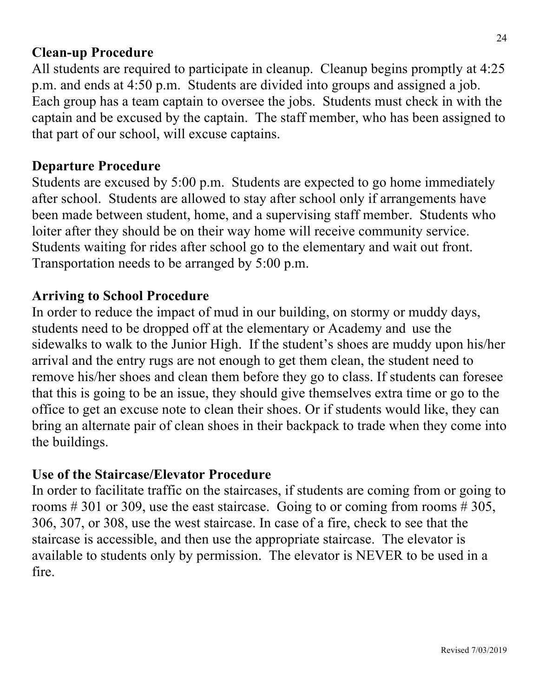#### **Clean-up Procedure**

All students are required to participate in cleanup. Cleanup begins promptly at 4:25 p.m. and ends at 4:50 p.m. Students are divided into groups and assigned a job. Each group has a team captain to oversee the jobs. Students must check in with the captain and be excused by the captain. The staff member, who has been assigned to that part of our school, will excuse captains.

#### **Departure Procedure**

Students are excused by 5:00 p.m. Students are expected to go home immediately after school. Students are allowed to stay after school only if arrangements have been made between student, home, and a supervising staff member. Students who loiter after they should be on their way home will receive community service. Students waiting for rides after school go to the elementary and wait out front. Transportation needs to be arranged by 5:00 p.m.

#### **Arriving to School Procedure**

In order to reduce the impact of mud in our building, on stormy or muddy days, students need to be dropped off at the elementary or Academy and use the sidewalks to walk to the Junior High. If the student's shoes are muddy upon his/her arrival and the entry rugs are not enough to get them clean, the student need to remove his/her shoes and clean them before they go to class. If students can foresee that this is going to be an issue, they should give themselves extra time or go to the office to get an excuse note to clean their shoes. Or if students would like, they can bring an alternate pair of clean shoes in their backpack to trade when they come into the buildings.

#### **Use of the Staircase/Elevator Procedure**

In order to facilitate traffic on the staircases, if students are coming from or going to rooms  $\# 301$  or 309, use the east staircase. Going to or coming from rooms  $\# 305$ , 306, 307, or 308, use the west staircase. In case of a fire, check to see that the staircase is accessible, and then use the appropriate staircase. The elevator is available to students only by permission. The elevator is NEVER to be used in a fire.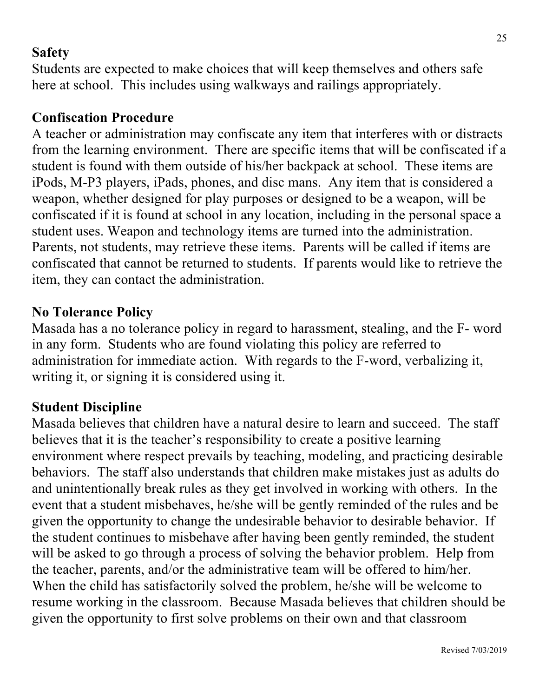## **Safety**

Students are expected to make choices that will keep themselves and others safe here at school. This includes using walkways and railings appropriately.

#### **Confiscation Procedure**

A teacher or administration may confiscate any item that interferes with or distracts from the learning environment. There are specific items that will be confiscated if a student is found with them outside of his/her backpack at school. These items are iPods, M-P3 players, iPads, phones, and disc mans. Any item that is considered a weapon, whether designed for play purposes or designed to be a weapon, will be confiscated if it is found at school in any location, including in the personal space a student uses. Weapon and technology items are turned into the administration. Parents, not students, may retrieve these items. Parents will be called if items are confiscated that cannot be returned to students. If parents would like to retrieve the item, they can contact the administration.

#### **No Tolerance Policy**

Masada has a no tolerance policy in regard to harassment, stealing, and the F- word in any form. Students who are found violating this policy are referred to administration for immediate action. With regards to the F-word, verbalizing it, writing it, or signing it is considered using it.

#### **Student Discipline**

Masada believes that children have a natural desire to learn and succeed. The staff believes that it is the teacher's responsibility to create a positive learning environment where respect prevails by teaching, modeling, and practicing desirable behaviors. The staff also understands that children make mistakes just as adults do and unintentionally break rules as they get involved in working with others. In the event that a student misbehaves, he/she will be gently reminded of the rules and be given the opportunity to change the undesirable behavior to desirable behavior. If the student continues to misbehave after having been gently reminded, the student will be asked to go through a process of solving the behavior problem. Help from the teacher, parents, and/or the administrative team will be offered to him/her. When the child has satisfactorily solved the problem, he/she will be welcome to resume working in the classroom. Because Masada believes that children should be given the opportunity to first solve problems on their own and that classroom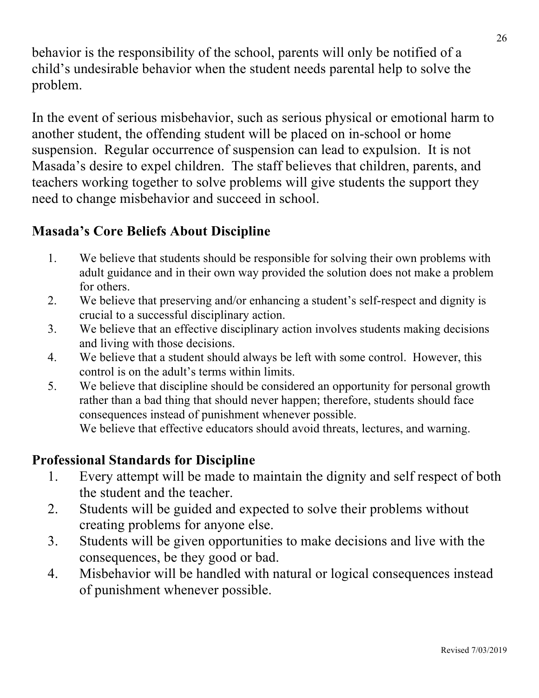behavior is the responsibility of the school, parents will only be notified of a child's undesirable behavior when the student needs parental help to solve the problem.

In the event of serious misbehavior, such as serious physical or emotional harm to another student, the offending student will be placed on in-school or home suspension. Regular occurrence of suspension can lead to expulsion. It is not Masada's desire to expel children. The staff believes that children, parents, and teachers working together to solve problems will give students the support they need to change misbehavior and succeed in school.

## **Masada's Core Beliefs About Discipline**

- 1. We believe that students should be responsible for solving their own problems with adult guidance and in their own way provided the solution does not make a problem for others.
- 2. We believe that preserving and/or enhancing a student's self-respect and dignity is crucial to a successful disciplinary action.
- 3. We believe that an effective disciplinary action involves students making decisions and living with those decisions.
- 4. We believe that a student should always be left with some control. However, this control is on the adult's terms within limits.
- 5. We believe that discipline should be considered an opportunity for personal growth rather than a bad thing that should never happen; therefore, students should face consequences instead of punishment whenever possible. We believe that effective educators should avoid threats, lectures, and warning.

#### **Professional Standards for Discipline**

- 1. Every attempt will be made to maintain the dignity and self respect of both the student and the teacher.
- 2. Students will be guided and expected to solve their problems without creating problems for anyone else.
- 3. Students will be given opportunities to make decisions and live with the consequences, be they good or bad.
- 4. Misbehavior will be handled with natural or logical consequences instead of punishment whenever possible.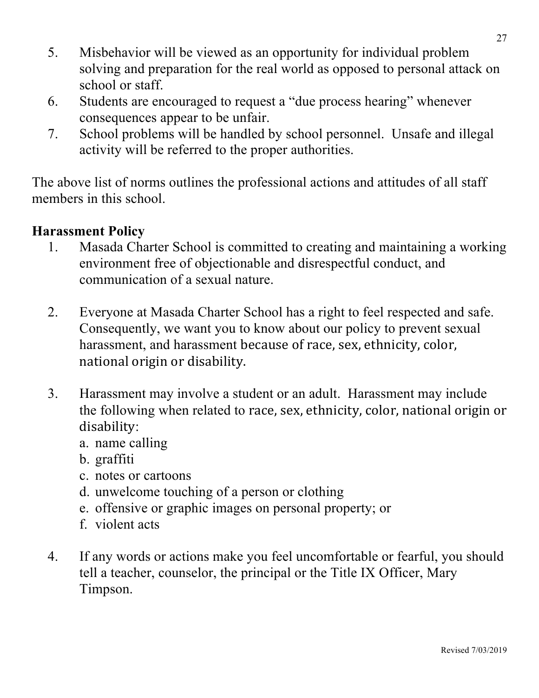- 5. Misbehavior will be viewed as an opportunity for individual problem solving and preparation for the real world as opposed to personal attack on school or staff.
- 6. Students are encouraged to request a "due process hearing" whenever consequences appear to be unfair.
- 7. School problems will be handled by school personnel. Unsafe and illegal activity will be referred to the proper authorities.

The above list of norms outlines the professional actions and attitudes of all staff members in this school.

#### **Harassment Policy**

- 1. Masada Charter School is committed to creating and maintaining a working environment free of objectionable and disrespectful conduct, and communication of a sexual nature.
- 2. Everyone at Masada Charter School has a right to feel respected and safe. Consequently, we want you to know about our policy to prevent sexual harassment, and harassment because of race, sex, ethnicity, color, national origin or disability.
- 3. Harassment may involve a student or an adult. Harassment may include the following when related to race, sex, ethnicity, color, national origin or disability:
	- a. name calling
	- b. graffiti
	- c. notes or cartoons
	- d. unwelcome touching of a person or clothing
	- e. offensive or graphic images on personal property; or
	- f. violent acts
- 4. If any words or actions make you feel uncomfortable or fearful, you should tell a teacher, counselor, the principal or the Title IX Officer, Mary Timpson.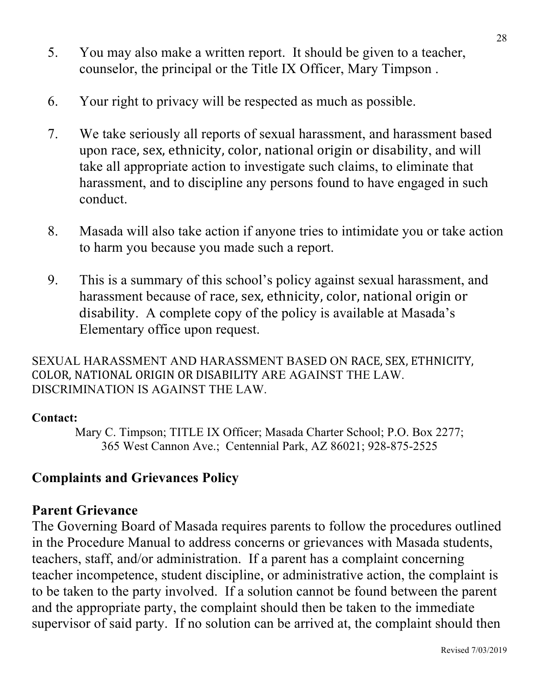- 5. You may also make a written report. It should be given to a teacher, counselor, the principal or the Title IX Officer, Mary Timpson .
- 6. Your right to privacy will be respected as much as possible.
- 7. We take seriously all reports of sexual harassment, and harassment based upon race, sex, ethnicity, color, national origin or disability, and will take all appropriate action to investigate such claims, to eliminate that harassment, and to discipline any persons found to have engaged in such conduct.
- 8. Masada will also take action if anyone tries to intimidate you or take action to harm you because you made such a report.
- 9. This is a summary of this school's policy against sexual harassment, and harassment because of race, sex, ethnicity, color, national origin or disability. A complete copy of the policy is available at Masada's Elementary office upon request.

SEXUAL HARASSMENT AND HARASSMENT BASED ON RACE, SEX, ETHNICITY, COLOR, NATIONAL ORIGIN OR DISABILITY ARE AGAINST THE LAW. DISCRIMINATION IS AGAINST THE LAW.

#### **Contact:**

Mary C. Timpson; TITLE IX Officer; Masada Charter School; P.O. Box 2277; 365 West Cannon Ave.; Centennial Park, AZ 86021; 928-875-2525

#### **Complaints and Grievances Policy**

#### **Parent Grievance**

The Governing Board of Masada requires parents to follow the procedures outlined in the Procedure Manual to address concerns or grievances with Masada students, teachers, staff, and/or administration. If a parent has a complaint concerning teacher incompetence, student discipline, or administrative action, the complaint is to be taken to the party involved. If a solution cannot be found between the parent and the appropriate party, the complaint should then be taken to the immediate supervisor of said party. If no solution can be arrived at, the complaint should then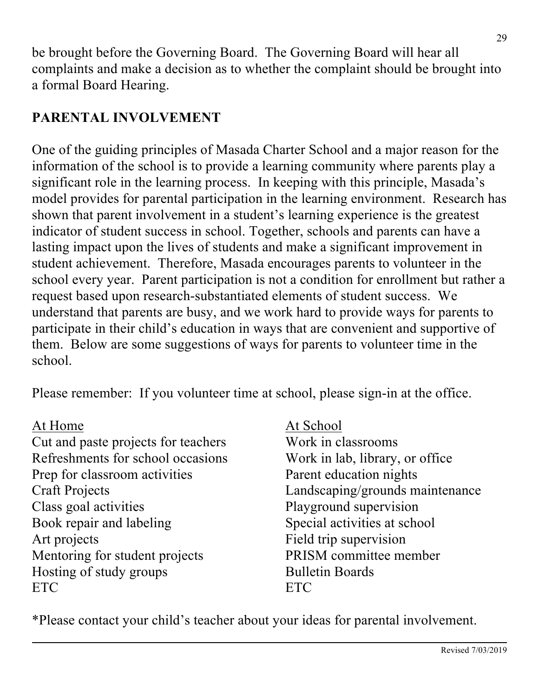be brought before the Governing Board. The Governing Board will hear all complaints and make a decision as to whether the complaint should be brought into a formal Board Hearing.

## **PARENTAL INVOLVEMENT**

One of the guiding principles of Masada Charter School and a major reason for the information of the school is to provide a learning community where parents play a significant role in the learning process. In keeping with this principle, Masada's model provides for parental participation in the learning environment. Research has shown that parent involvement in a student's learning experience is the greatest indicator of student success in school. Together, schools and parents can have a lasting impact upon the lives of students and make a significant improvement in student achievement. Therefore, Masada encourages parents to volunteer in the school every year. Parent participation is not a condition for enrollment but rather a request based upon research-substantiated elements of student success. We understand that parents are busy, and we work hard to provide ways for parents to participate in their child's education in ways that are convenient and supportive of them. Below are some suggestions of ways for parents to volunteer time in the school.

Please remember: If you volunteer time at school, please sign-in at the office.

Cut and paste projects for teachers Work in classrooms Refreshments for school occasions Work in lab, library, or office Prep for classroom activities Parent education nights Class goal activities Playground supervision Book repair and labeling Special activities at school Art projects Field trip supervision Mentoring for student projects PRISM committee member Hosting of study groups Bulletin Boards ETC ETC

At Home At School

Craft Projects Landscaping/grounds maintenance

\*Please contact your child's teacher about your ideas for parental involvement.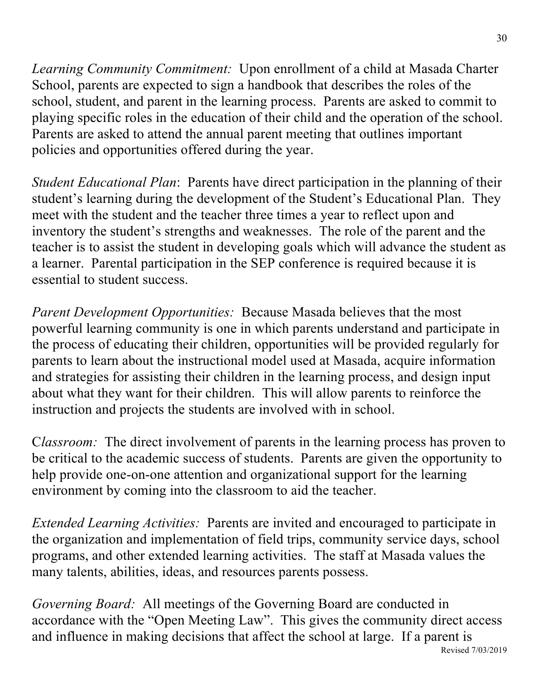*Learning Community Commitment:* Upon enrollment of a child at Masada Charter School, parents are expected to sign a handbook that describes the roles of the school, student, and parent in the learning process. Parents are asked to commit to playing specific roles in the education of their child and the operation of the school. Parents are asked to attend the annual parent meeting that outlines important policies and opportunities offered during the year.

*Student Educational Plan*: Parents have direct participation in the planning of their student's learning during the development of the Student's Educational Plan. They meet with the student and the teacher three times a year to reflect upon and inventory the student's strengths and weaknesses. The role of the parent and the teacher is to assist the student in developing goals which will advance the student as a learner. Parental participation in the SEP conference is required because it is essential to student success.

*Parent Development Opportunities:* Because Masada believes that the most powerful learning community is one in which parents understand and participate in the process of educating their children, opportunities will be provided regularly for parents to learn about the instructional model used at Masada, acquire information and strategies for assisting their children in the learning process, and design input about what they want for their children. This will allow parents to reinforce the instruction and projects the students are involved with in school.

C*lassroom:* The direct involvement of parents in the learning process has proven to be critical to the academic success of students. Parents are given the opportunity to help provide one-on-one attention and organizational support for the learning environment by coming into the classroom to aid the teacher.

*Extended Learning Activities:* Parents are invited and encouraged to participate in the organization and implementation of field trips, community service days, school programs, and other extended learning activities. The staff at Masada values the many talents, abilities, ideas, and resources parents possess.

*Governing Board:* All meetings of the Governing Board are conducted in accordance with the "Open Meeting Law". This gives the community direct access and influence in making decisions that affect the school at large. If a parent is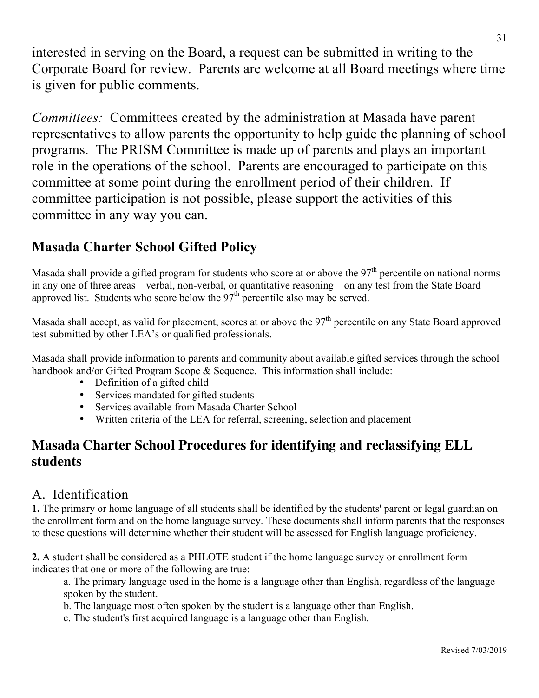interested in serving on the Board, a request can be submitted in writing to the Corporate Board for review. Parents are welcome at all Board meetings where time is given for public comments.

*Committees:* Committees created by the administration at Masada have parent representatives to allow parents the opportunity to help guide the planning of school programs. The PRISM Committee is made up of parents and plays an important role in the operations of the school. Parents are encouraged to participate on this committee at some point during the enrollment period of their children. If committee participation is not possible, please support the activities of this committee in any way you can.

#### **Masada Charter School Gifted Policy**

Masada shall provide a gifted program for students who score at or above the  $97<sup>th</sup>$  percentile on national norms in any one of three areas – verbal, non-verbal, or quantitative reasoning – on any test from the State Board approved list. Students who score below the 97<sup>th</sup> percentile also may be served.

Masada shall accept, as valid for placement, scores at or above the 97<sup>th</sup> percentile on any State Board approved test submitted by other LEA's or qualified professionals.

Masada shall provide information to parents and community about available gifted services through the school handbook and/or Gifted Program Scope & Sequence. This information shall include:

- Definition of a gifted child
- Services mandated for gifted students
- Services available from Masada Charter School
- Written criteria of the LEA for referral, screening, selection and placement

#### **Masada Charter School Procedures for identifying and reclassifying ELL students**

#### A. Identification

**1.** The primary or home language of all students shall be identified by the students' parent or legal guardian on the enrollment form and on the home language survey. These documents shall inform parents that the responses to these questions will determine whether their student will be assessed for English language proficiency.

**2.** A student shall be considered as a PHLOTE student if the home language survey or enrollment form indicates that one or more of the following are true:

a. The primary language used in the home is a language other than English, regardless of the language spoken by the student.

b. The language most often spoken by the student is a language other than English.

c. The student's first acquired language is a language other than English.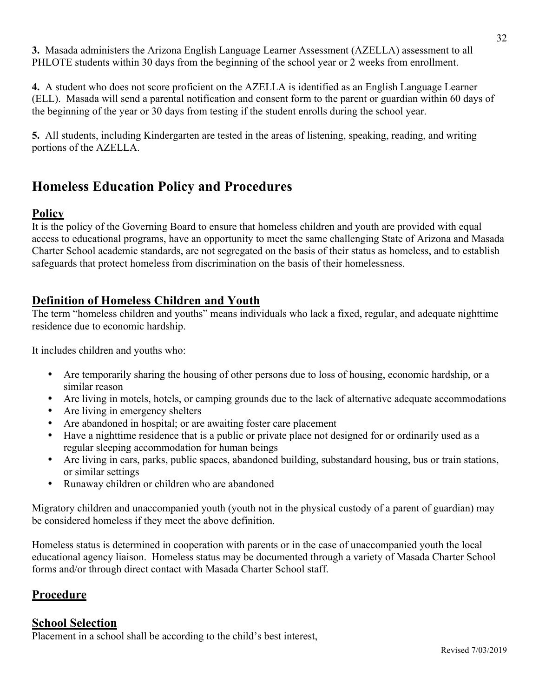**3.** Masada administers the Arizona English Language Learner Assessment (AZELLA) assessment to all PHLOTE students within 30 days from the beginning of the school year or 2 weeks from enrollment.

**4.** A student who does not score proficient on the AZELLA is identified as an English Language Learner (ELL). Masada will send a parental notification and consent form to the parent or guardian within 60 days of the beginning of the year or 30 days from testing if the student enrolls during the school year.

**5.** All students, including Kindergarten are tested in the areas of listening, speaking, reading, and writing portions of the AZELLA.

## **Homeless Education Policy and Procedures**

#### **Policy**

It is the policy of the Governing Board to ensure that homeless children and youth are provided with equal access to educational programs, have an opportunity to meet the same challenging State of Arizona and Masada Charter School academic standards, are not segregated on the basis of their status as homeless, and to establish safeguards that protect homeless from discrimination on the basis of their homelessness.

#### **Definition of Homeless Children and Youth**

The term "homeless children and youths" means individuals who lack a fixed, regular, and adequate nighttime residence due to economic hardship.

It includes children and youths who:

- Are temporarily sharing the housing of other persons due to loss of housing, economic hardship, or a similar reason
- Are living in motels, hotels, or camping grounds due to the lack of alternative adequate accommodations
- Are living in emergency shelters
- Are abandoned in hospital; or are awaiting foster care placement
- Have a nighttime residence that is a public or private place not designed for or ordinarily used as a regular sleeping accommodation for human beings
- Are living in cars, parks, public spaces, abandoned building, substandard housing, bus or train stations, or similar settings
- Runaway children or children who are abandoned

Migratory children and unaccompanied youth (youth not in the physical custody of a parent of guardian) may be considered homeless if they meet the above definition.

Homeless status is determined in cooperation with parents or in the case of unaccompanied youth the local educational agency liaison. Homeless status may be documented through a variety of Masada Charter School forms and/or through direct contact with Masada Charter School staff.

#### **Procedure**

#### **School Selection**

Placement in a school shall be according to the child's best interest,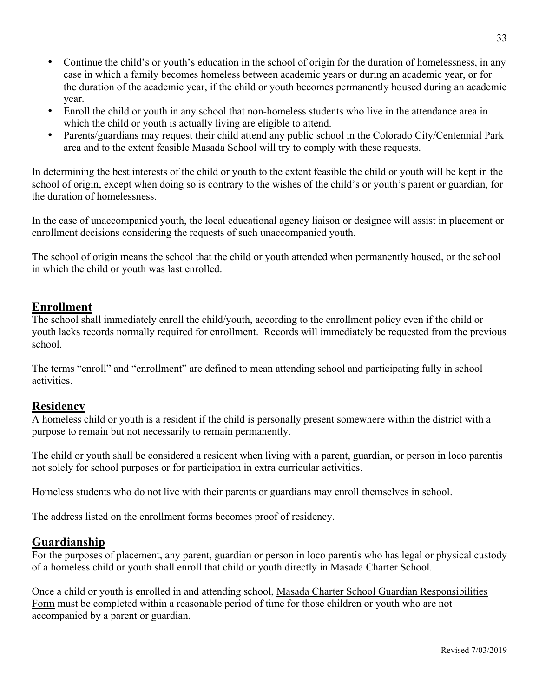- Continue the child's or youth's education in the school of origin for the duration of homelessness, in any case in which a family becomes homeless between academic years or during an academic year, or for the duration of the academic year, if the child or youth becomes permanently housed during an academic year.
- Enroll the child or youth in any school that non-homeless students who live in the attendance area in which the child or youth is actually living are eligible to attend.
- Parents/guardians may request their child attend any public school in the Colorado City/Centennial Park area and to the extent feasible Masada School will try to comply with these requests.

In determining the best interests of the child or youth to the extent feasible the child or youth will be kept in the school of origin, except when doing so is contrary to the wishes of the child's or youth's parent or guardian, for the duration of homelessness.

In the case of unaccompanied youth, the local educational agency liaison or designee will assist in placement or enrollment decisions considering the requests of such unaccompanied youth.

The school of origin means the school that the child or youth attended when permanently housed, or the school in which the child or youth was last enrolled.

#### **Enrollment**

The school shall immediately enroll the child/youth, according to the enrollment policy even if the child or youth lacks records normally required for enrollment. Records will immediately be requested from the previous school.

The terms "enroll" and "enrollment" are defined to mean attending school and participating fully in school activities.

#### **Residency**

A homeless child or youth is a resident if the child is personally present somewhere within the district with a purpose to remain but not necessarily to remain permanently.

The child or youth shall be considered a resident when living with a parent, guardian, or person in loco parentis not solely for school purposes or for participation in extra curricular activities.

Homeless students who do not live with their parents or guardians may enroll themselves in school.

The address listed on the enrollment forms becomes proof of residency.

#### **Guardianship**

For the purposes of placement, any parent, guardian or person in loco parentis who has legal or physical custody of a homeless child or youth shall enroll that child or youth directly in Masada Charter School.

Once a child or youth is enrolled in and attending school, Masada Charter School Guardian Responsibilities Form must be completed within a reasonable period of time for those children or youth who are not accompanied by a parent or guardian.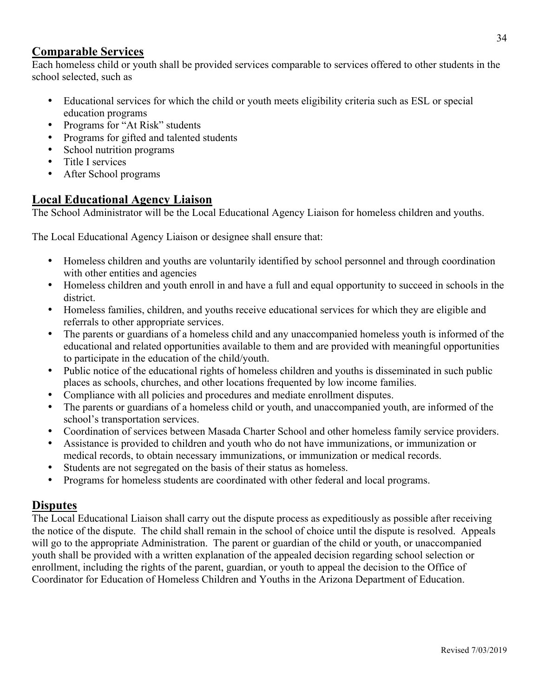#### **Comparable Services**

Each homeless child or youth shall be provided services comparable to services offered to other students in the school selected, such as

- Educational services for which the child or youth meets eligibility criteria such as ESL or special education programs
- Programs for "At Risk" students
- Programs for gifted and talented students
- School nutrition programs
- Title I services
- After School programs

#### **Local Educational Agency Liaison**

The School Administrator will be the Local Educational Agency Liaison for homeless children and youths.

The Local Educational Agency Liaison or designee shall ensure that:

- Homeless children and youths are voluntarily identified by school personnel and through coordination with other entities and agencies
- Homeless children and youth enroll in and have a full and equal opportunity to succeed in schools in the district.
- Homeless families, children, and youths receive educational services for which they are eligible and referrals to other appropriate services.
- The parents or guardians of a homeless child and any unaccompanied homeless youth is informed of the educational and related opportunities available to them and are provided with meaningful opportunities to participate in the education of the child/youth.
- Public notice of the educational rights of homeless children and youths is disseminated in such public places as schools, churches, and other locations frequented by low income families.
- Compliance with all policies and procedures and mediate enrollment disputes.
- The parents or guardians of a homeless child or youth, and unaccompanied youth, are informed of the school's transportation services.
- Coordination of services between Masada Charter School and other homeless family service providers.
- Assistance is provided to children and youth who do not have immunizations, or immunization or medical records, to obtain necessary immunizations, or immunization or medical records.
- Students are not segregated on the basis of their status as homeless.
- Programs for homeless students are coordinated with other federal and local programs.

#### **Disputes**

The Local Educational Liaison shall carry out the dispute process as expeditiously as possible after receiving the notice of the dispute. The child shall remain in the school of choice until the dispute is resolved. Appeals will go to the appropriate Administration. The parent or guardian of the child or youth, or unaccompanied youth shall be provided with a written explanation of the appealed decision regarding school selection or enrollment, including the rights of the parent, guardian, or youth to appeal the decision to the Office of Coordinator for Education of Homeless Children and Youths in the Arizona Department of Education.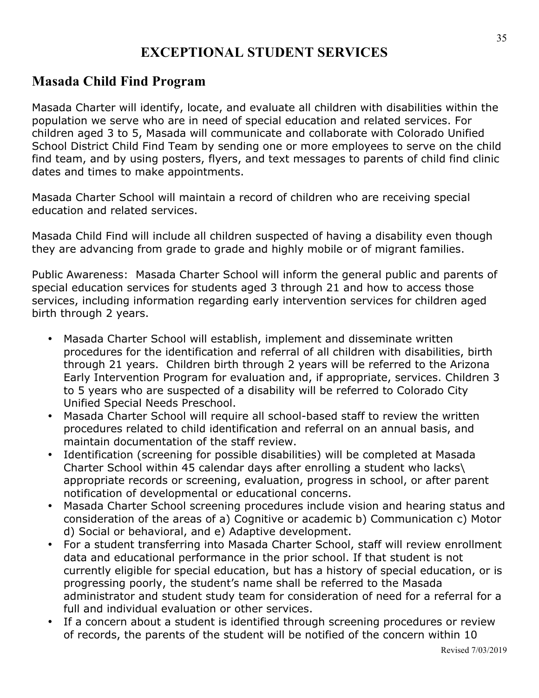## **EXCEPTIONAL STUDENT SERVICES**

#### **Masada Child Find Program**

Masada Charter will identify, locate, and evaluate all children with disabilities within the population we serve who are in need of special education and related services. For children aged 3 to 5, Masada will communicate and collaborate with Colorado Unified School District Child Find Team by sending one or more employees to serve on the child find team, and by using posters, flyers, and text messages to parents of child find clinic dates and times to make appointments.

Masada Charter School will maintain a record of children who are receiving special education and related services.

Masada Child Find will include all children suspected of having a disability even though they are advancing from grade to grade and highly mobile or of migrant families.

Public Awareness: Masada Charter School will inform the general public and parents of special education services for students aged 3 through 21 and how to access those services, including information regarding early intervention services for children aged birth through 2 years.

- Masada Charter School will establish, implement and disseminate written procedures for the identification and referral of all children with disabilities, birth through 21 years. Children birth through 2 years will be referred to the Arizona Early Intervention Program for evaluation and, if appropriate, services. Children 3 to 5 years who are suspected of a disability will be referred to Colorado City Unified Special Needs Preschool.
- Masada Charter School will require all school-based staff to review the written procedures related to child identification and referral on an annual basis, and maintain documentation of the staff review.
- Identification (screening for possible disabilities) will be completed at Masada Charter School within 45 calendar days after enrolling a student who lacks\ appropriate records or screening, evaluation, progress in school, or after parent notification of developmental or educational concerns.
- Masada Charter School screening procedures include vision and hearing status and consideration of the areas of a) Cognitive or academic b) Communication c) Motor d) Social or behavioral, and e) Adaptive development.
- For a student transferring into Masada Charter School, staff will review enrollment data and educational performance in the prior school. If that student is not currently eligible for special education, but has a history of special education, or is progressing poorly, the student's name shall be referred to the Masada administrator and student study team for consideration of need for a referral for a full and individual evaluation or other services.
- If a concern about a student is identified through screening procedures or review of records, the parents of the student will be notified of the concern within 10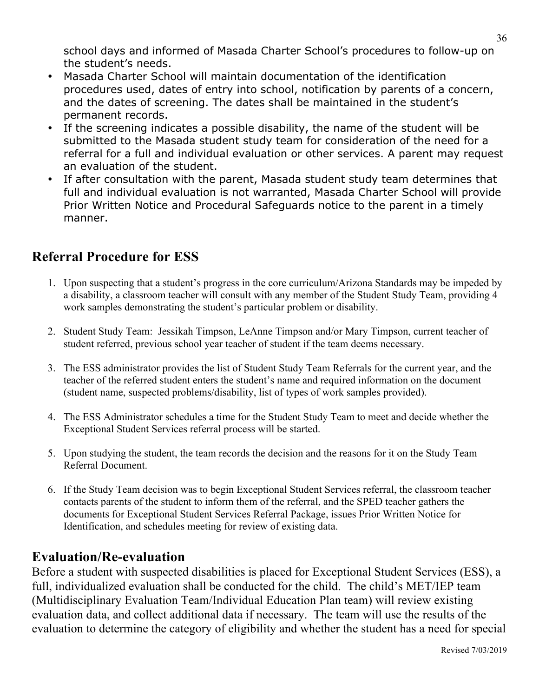school days and informed of Masada Charter School's procedures to follow-up on the student's needs.

- Masada Charter School will maintain documentation of the identification procedures used, dates of entry into school, notification by parents of a concern, and the dates of screening. The dates shall be maintained in the student's permanent records.
- If the screening indicates a possible disability, the name of the student will be submitted to the Masada student study team for consideration of the need for a referral for a full and individual evaluation or other services. A parent may request an evaluation of the student.
- If after consultation with the parent, Masada student study team determines that full and individual evaluation is not warranted, Masada Charter School will provide Prior Written Notice and Procedural Safeguards notice to the parent in a timely manner.

## **Referral Procedure for ESS**

- 1. Upon suspecting that a student's progress in the core curriculum/Arizona Standards may be impeded by a disability, a classroom teacher will consult with any member of the Student Study Team, providing 4 work samples demonstrating the student's particular problem or disability.
- 2. Student Study Team: Jessikah Timpson, LeAnne Timpson and/or Mary Timpson, current teacher of student referred, previous school year teacher of student if the team deems necessary.
- 3. The ESS administrator provides the list of Student Study Team Referrals for the current year, and the teacher of the referred student enters the student's name and required information on the document (student name, suspected problems/disability, list of types of work samples provided).
- 4. The ESS Administrator schedules a time for the Student Study Team to meet and decide whether the Exceptional Student Services referral process will be started.
- 5. Upon studying the student, the team records the decision and the reasons for it on the Study Team Referral Document.
- 6. If the Study Team decision was to begin Exceptional Student Services referral, the classroom teacher contacts parents of the student to inform them of the referral, and the SPED teacher gathers the documents for Exceptional Student Services Referral Package, issues Prior Written Notice for Identification, and schedules meeting for review of existing data.

#### **Evaluation/Re-evaluation**

Before a student with suspected disabilities is placed for Exceptional Student Services (ESS), a full, individualized evaluation shall be conducted for the child. The child's MET/IEP team (Multidisciplinary Evaluation Team/Individual Education Plan team) will review existing evaluation data, and collect additional data if necessary. The team will use the results of the evaluation to determine the category of eligibility and whether the student has a need for special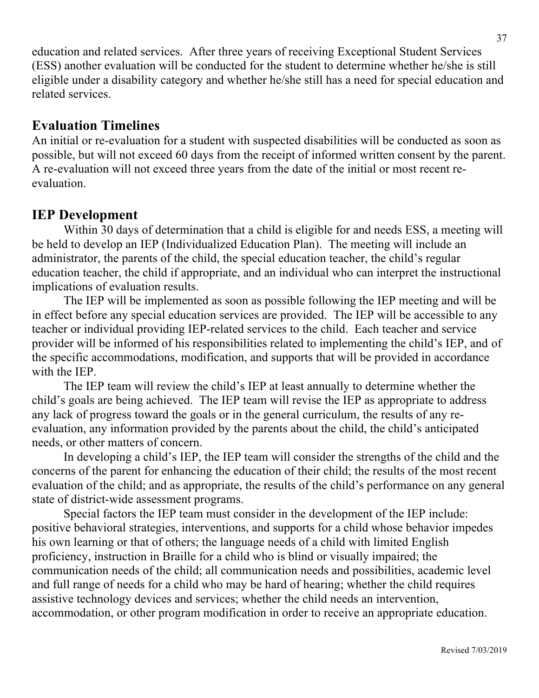education and related services. After three years of receiving Exceptional Student Services (ESS) another evaluation will be conducted for the student to determine whether he/she is still eligible under a disability category and whether he/she still has a need for special education and related services.

#### **Evaluation Timelines**

An initial or re-evaluation for a student with suspected disabilities will be conducted as soon as possible, but will not exceed 60 days from the receipt of informed written consent by the parent. A re-evaluation will not exceed three years from the date of the initial or most recent reevaluation.

#### **IEP Development**

Within 30 days of determination that a child is eligible for and needs ESS, a meeting will be held to develop an IEP (Individualized Education Plan). The meeting will include an administrator, the parents of the child, the special education teacher, the child's regular education teacher, the child if appropriate, and an individual who can interpret the instructional implications of evaluation results.

The IEP will be implemented as soon as possible following the IEP meeting and will be in effect before any special education services are provided. The IEP will be accessible to any teacher or individual providing IEP-related services to the child. Each teacher and service provider will be informed of his responsibilities related to implementing the child's IEP, and of the specific accommodations, modification, and supports that will be provided in accordance with the IEP.

The IEP team will review the child's IEP at least annually to determine whether the child's goals are being achieved. The IEP team will revise the IEP as appropriate to address any lack of progress toward the goals or in the general curriculum, the results of any reevaluation, any information provided by the parents about the child, the child's anticipated needs, or other matters of concern.

In developing a child's IEP, the IEP team will consider the strengths of the child and the concerns of the parent for enhancing the education of their child; the results of the most recent evaluation of the child; and as appropriate, the results of the child's performance on any general state of district-wide assessment programs.

Special factors the IEP team must consider in the development of the IEP include: positive behavioral strategies, interventions, and supports for a child whose behavior impedes his own learning or that of others; the language needs of a child with limited English proficiency, instruction in Braille for a child who is blind or visually impaired; the communication needs of the child; all communication needs and possibilities, academic level and full range of needs for a child who may be hard of hearing; whether the child requires assistive technology devices and services; whether the child needs an intervention, accommodation, or other program modification in order to receive an appropriate education.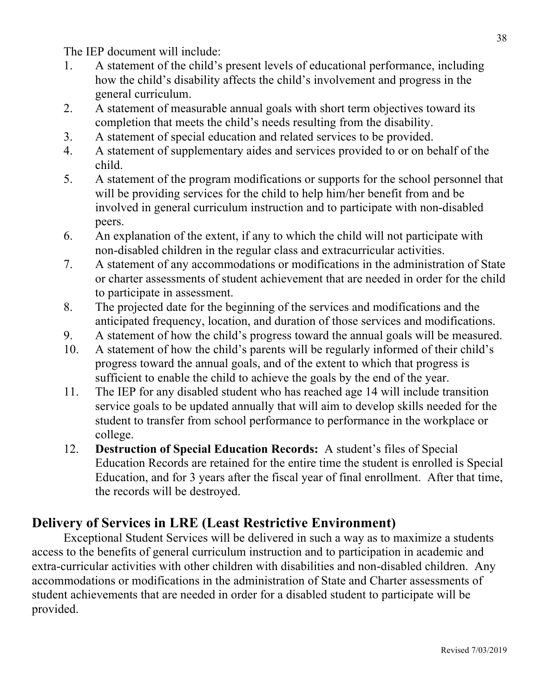The IEP document will include:

- 1. A statement of the child's present levels of educational performance, including how the child's disability affects the child's involvement and progress in the general curriculum.
- 2. A statement of measurable annual goals with short term objectives toward its completion that meets the child's needs resulting from the disability.
- 3. A statement of special education and related services to be provided.
- 4. A statement of supplementary aides and services provided to or on behalf of the child.
- 5. A statement of the program modifications or supports for the school personnel that will be providing services for the child to help him/her benefit from and be involved in general curriculum instruction and to participate with non-disabled peers.
- 6. An explanation of the extent, if any to which the child will not participate with non-disabled children in the regular class and extracurricular activities.
- 7. A statement of any accommodations or modifications in the administration of State or charter assessments of student achievement that are needed in order for the child to participate in assessment.
- 8. The projected date for the beginning of the services and modifications and the anticipated frequency, location, and duration of those services and modifications.
- 9. A statement of how the child's progress toward the annual goals will be measured.
- 10. A statement of how the child's parents will be regularly informed of their child's progress toward the annual goals, and of the extent to which that progress is sufficient to enable the child to achieve the goals by the end of the year.
- 11. The IEP for any disabled student who has reached age 14 will include transition service goals to be updated annually that will aim to develop skills needed for the student to transfer from school performance to performance in the workplace or college.
- 12. **Destruction of Special Education Records:** A student's files of Special Education Records are retained for the entire time the student is enrolled is Special Education, and for 3 years after the fiscal year of final enrollment. After that time, the records will be destroyed.

## **Delivery of Services in LRE (Least Restrictive Environment)**

Exceptional Student Services will be delivered in such a way as to maximize a students access to the benefits of general curriculum instruction and to participation in academic and extra-curricular activities with other children with disabilities and non-disabled children. Any accommodations or modifications in the administration of State and Charter assessments of student achievements that are needed in order for a disabled student to participate will be provided.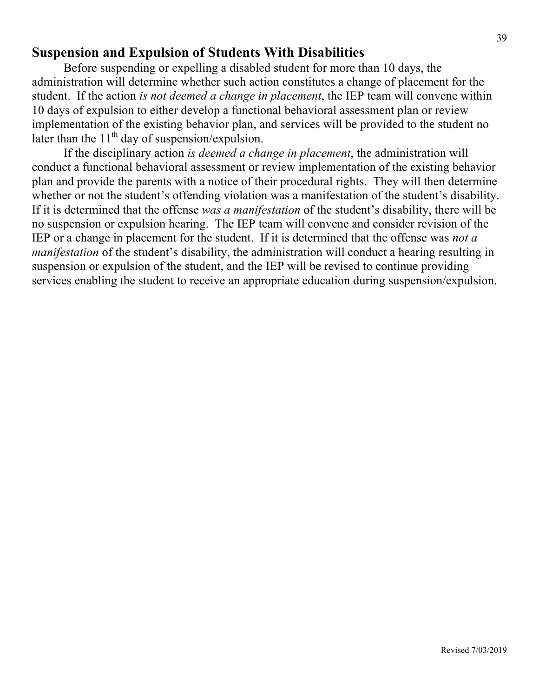#### **Suspension and Expulsion of Students With Disabilities**

Before suspending or expelling a disabled student for more than 10 days, the administration will determine whether such action constitutes a change of placement for the student. If the action *is not deemed a change in placement*, the IEP team will convene within 10 days of expulsion to either develop a functional behavioral assessment plan or review implementation of the existing behavior plan, and services will be provided to the student no later than the  $11<sup>th</sup>$  day of suspension/expulsion.

If the disciplinary action *is deemed a change in placement*, the administration will conduct a functional behavioral assessment or review implementation of the existing behavior plan and provide the parents with a notice of their procedural rights. They will then determine whether or not the student's offending violation was a manifestation of the student's disability. If it is determined that the offense *was a manifestation* of the student's disability, there will be no suspension or expulsion hearing. The IEP team will convene and consider revision of the IEP or a change in placement for the student. If it is determined that the offense was *not a manifestation* of the student's disability, the administration will conduct a hearing resulting in suspension or expulsion of the student, and the IEP will be revised to continue providing services enabling the student to receive an appropriate education during suspension/expulsion.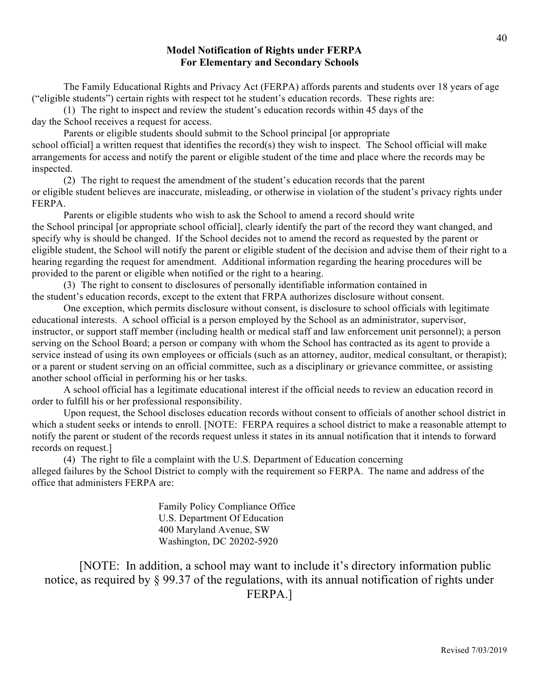#### **Model Notification of Rights under FERPA For Elementary and Secondary Schools**

The Family Educational Rights and Privacy Act (FERPA) affords parents and students over 18 years of age ("eligible students") certain rights with respect tot he student's education records. These rights are:

(1) The right to inspect and review the student's education records within 45 days of the day the School receives a request for access.

Parents or eligible students should submit to the School principal [or appropriate school official] a written request that identifies the record(s) they wish to inspect. The School official will make arrangements for access and notify the parent or eligible student of the time and place where the records may be inspected.

(2) The right to request the amendment of the student's education records that the parent or eligible student believes are inaccurate, misleading, or otherwise in violation of the student's privacy rights under FERPA.

Parents or eligible students who wish to ask the School to amend a record should write the School principal [or appropriate school official], clearly identify the part of the record they want changed, and specify why is should be changed. If the School decides not to amend the record as requested by the parent or eligible student, the School will notify the parent or eligible student of the decision and advise them of their right to a hearing regarding the request for amendment. Additional information regarding the hearing procedures will be provided to the parent or eligible when notified or the right to a hearing.

(3) The right to consent to disclosures of personally identifiable information contained in the student's education records, except to the extent that FRPA authorizes disclosure without consent.

One exception, which permits disclosure without consent, is disclosure to school officials with legitimate educational interests. A school official is a person employed by the School as an administrator, supervisor, instructor, or support staff member (including health or medical staff and law enforcement unit personnel); a person serving on the School Board; a person or company with whom the School has contracted as its agent to provide a service instead of using its own employees or officials (such as an attorney, auditor, medical consultant, or therapist); or a parent or student serving on an official committee, such as a disciplinary or grievance committee, or assisting another school official in performing his or her tasks.

A school official has a legitimate educational interest if the official needs to review an education record in order to fulfill his or her professional responsibility.

Upon request, the School discloses education records without consent to officials of another school district in which a student seeks or intends to enroll. [NOTE: FERPA requires a school district to make a reasonable attempt to notify the parent or student of the records request unless it states in its annual notification that it intends to forward records on request.]

(4) The right to file a complaint with the U.S. Department of Education concerning alleged failures by the School District to comply with the requirement so FERPA. The name and address of the office that administers FERPA are:

> Family Policy Compliance Office U.S. Department Of Education 400 Maryland Avenue, SW Washington, DC 20202-5920

[NOTE: In addition, a school may want to include it's directory information public notice, as required by § 99.37 of the regulations, with its annual notification of rights under FERPA.]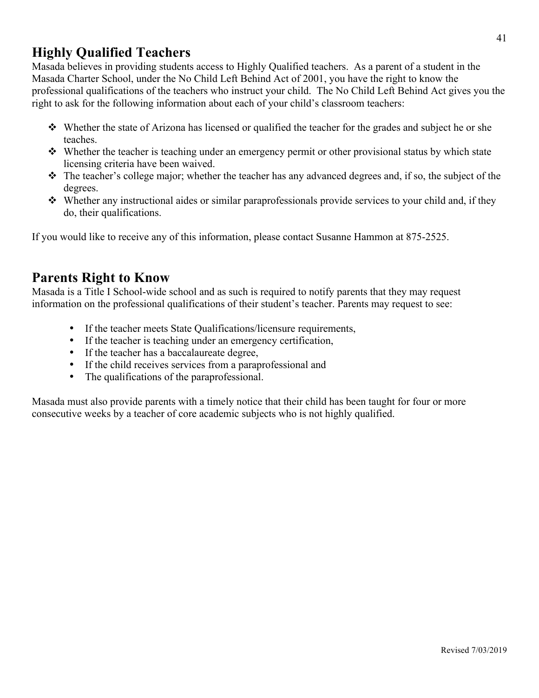## **Highly Qualified Teachers**

Masada believes in providing students access to Highly Qualified teachers. As a parent of a student in the Masada Charter School, under the No Child Left Behind Act of 2001, you have the right to know the professional qualifications of the teachers who instruct your child. The No Child Left Behind Act gives you the right to ask for the following information about each of your child's classroom teachers:

- $\bullet\bullet\text{ Whether the state of Arizona has licensed or qualified the teacher for the grades and subject he or she.}$ teaches.
- $\bullet\bullet\text{ Whether the teacher is teaching under an emergency permit or other provisional status by which state }$ licensing criteria have been waived.
- $\hat{\mathbf{v}}$  The teacher's college major; whether the teacher has any advanced degrees and, if so, the subject of the degrees.
- $\cdot$  Whether any instructional aides or similar paraprofessionals provide services to your child and, if they do, their qualifications.

If you would like to receive any of this information, please contact Susanne Hammon at 875-2525.

#### **Parents Right to Know**

Masada is a Title I School-wide school and as such is required to notify parents that they may request information on the professional qualifications of their student's teacher. Parents may request to see:

- If the teacher meets State Qualifications/licensure requirements,
- If the teacher is teaching under an emergency certification,
- If the teacher has a baccalaureate degree,
- If the child receives services from a paraprofessional and
- The qualifications of the paraprofessional.

Masada must also provide parents with a timely notice that their child has been taught for four or more consecutive weeks by a teacher of core academic subjects who is not highly qualified.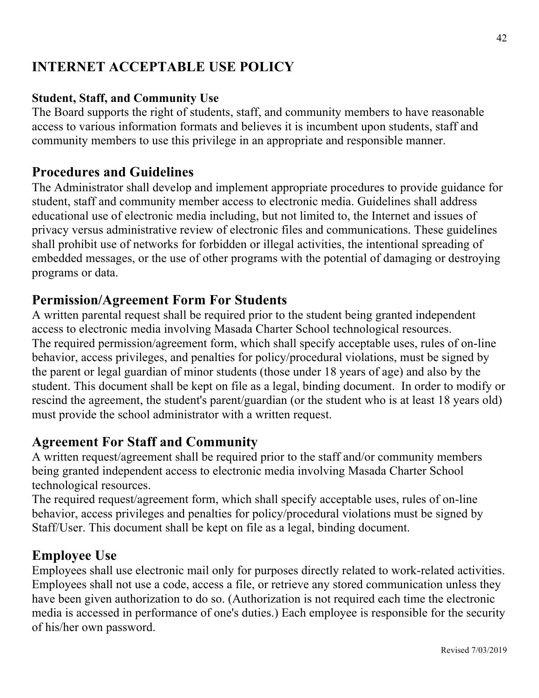## **INTERNET ACCEPTABLE USE POLICY**

#### **Student, Staff, and Community Use**

The Board supports the right of students, staff, and community members to have reasonable access to various information formats and believes it is incumbent upon students, staff and community members to use this privilege in an appropriate and responsible manner.

#### **Procedures and Guidelines**

The Administrator shall develop and implement appropriate procedures to provide guidance for student, staff and community member access to electronic media. Guidelines shall address educational use of electronic media including, but not limited to, the Internet and issues of privacy versus administrative review of electronic files and communications. These guidelines shall prohibit use of networks for forbidden or illegal activities, the intentional spreading of embedded messages, or the use of other programs with the potential of damaging or destroying programs or data.

#### **Permission/Agreement Form For Students**

A written parental request shall be required prior to the student being granted independent access to electronic media involving Masada Charter School technological resources. The required permission/agreement form, which shall specify acceptable uses, rules of on-line behavior, access privileges, and penalties for policy/procedural violations, must be signed by the parent or legal guardian of minor students (those under 18 years of age) and also by the student. This document shall be kept on file as a legal, binding document. In order to modify or rescind the agreement, the student's parent/guardian (or the student who is at least 18 years old) must provide the school administrator with a written request.

#### **Agreement For Staff and Community**

A written request/agreement shall be required prior to the staff and/or community members being granted independent access to electronic media involving Masada Charter School technological resources.

The required request/agreement form, which shall specify acceptable uses, rules of on-line behavior, access privileges and penalties for policy/procedural violations must be signed by Staff/User. This document shall be kept on file as a legal, binding document.

#### **Employee Use**

Employees shall use electronic mail only for purposes directly related to work-related activities. Employees shall not use a code, access a file, or retrieve any stored communication unless they have been given authorization to do so. (Authorization is not required each time the electronic media is accessed in performance of one's duties.) Each employee is responsible for the security of his/her own password.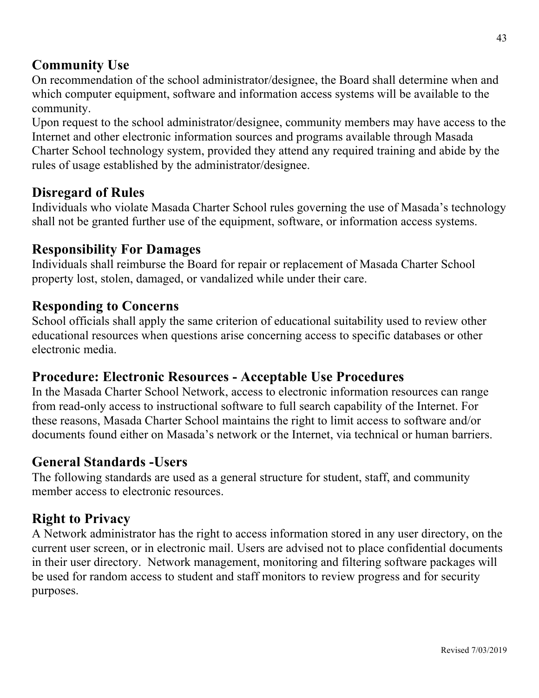#### **Community Use**

On recommendation of the school administrator/designee, the Board shall determine when and which computer equipment, software and information access systems will be available to the community.

Upon request to the school administrator/designee, community members may have access to the Internet and other electronic information sources and programs available through Masada Charter School technology system, provided they attend any required training and abide by the rules of usage established by the administrator/designee.

#### **Disregard of Rules**

Individuals who violate Masada Charter School rules governing the use of Masada's technology shall not be granted further use of the equipment, software, or information access systems.

#### **Responsibility For Damages**

Individuals shall reimburse the Board for repair or replacement of Masada Charter School property lost, stolen, damaged, or vandalized while under their care.

#### **Responding to Concerns**

School officials shall apply the same criterion of educational suitability used to review other educational resources when questions arise concerning access to specific databases or other electronic media.

#### **Procedure: Electronic Resources - Acceptable Use Procedures**

In the Masada Charter School Network, access to electronic information resources can range from read-only access to instructional software to full search capability of the Internet. For these reasons, Masada Charter School maintains the right to limit access to software and/or documents found either on Masada's network or the Internet, via technical or human barriers.

#### **General Standards -Users**

The following standards are used as a general structure for student, staff, and community member access to electronic resources.

#### **Right to Privacy**

A Network administrator has the right to access information stored in any user directory, on the current user screen, or in electronic mail. Users are advised not to place confidential documents in their user directory. Network management, monitoring and filtering software packages will be used for random access to student and staff monitors to review progress and for security purposes.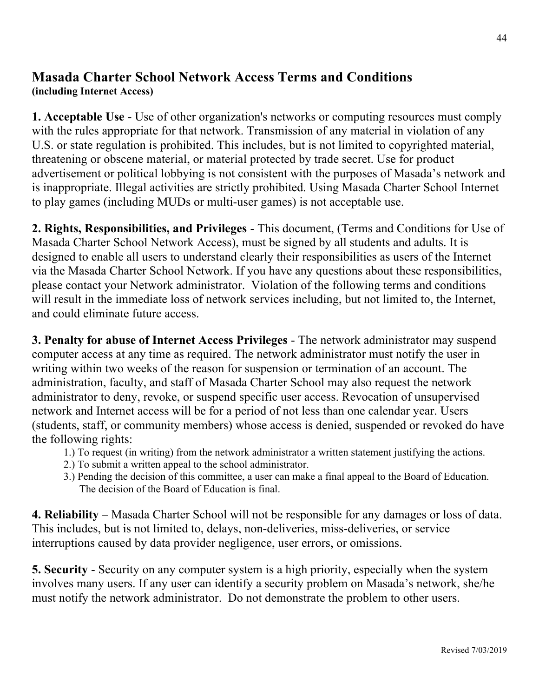#### **Masada Charter School Network Access Terms and Conditions (including Internet Access)**

**1. Acceptable Use** - Use of other organization's networks or computing resources must comply with the rules appropriate for that network. Transmission of any material in violation of any U.S. or state regulation is prohibited. This includes, but is not limited to copyrighted material, threatening or obscene material, or material protected by trade secret. Use for product advertisement or political lobbying is not consistent with the purposes of Masada's network and is inappropriate. Illegal activities are strictly prohibited. Using Masada Charter School Internet to play games (including MUDs or multi-user games) is not acceptable use.

**2. Rights, Responsibilities, and Privileges** - This document, (Terms and Conditions for Use of Masada Charter School Network Access), must be signed by all students and adults. It is designed to enable all users to understand clearly their responsibilities as users of the Internet via the Masada Charter School Network. If you have any questions about these responsibilities, please contact your Network administrator. Violation of the following terms and conditions will result in the immediate loss of network services including, but not limited to, the Internet, and could eliminate future access.

**3. Penalty for abuse of Internet Access Privileges** - The network administrator may suspend computer access at any time as required. The network administrator must notify the user in writing within two weeks of the reason for suspension or termination of an account. The administration, faculty, and staff of Masada Charter School may also request the network administrator to deny, revoke, or suspend specific user access. Revocation of unsupervised network and Internet access will be for a period of not less than one calendar year. Users (students, staff, or community members) whose access is denied, suspended or revoked do have the following rights:

- 1.) To request (in writing) from the network administrator a written statement justifying the actions.
- 2.) To submit a written appeal to the school administrator.
- 3.) Pending the decision of this committee, a user can make a final appeal to the Board of Education. The decision of the Board of Education is final.

**4. Reliability** – Masada Charter School will not be responsible for any damages or loss of data. This includes, but is not limited to, delays, non-deliveries, miss-deliveries, or service interruptions caused by data provider negligence, user errors, or omissions.

**5. Security** - Security on any computer system is a high priority, especially when the system involves many users. If any user can identify a security problem on Masada's network, she/he must notify the network administrator. Do not demonstrate the problem to other users.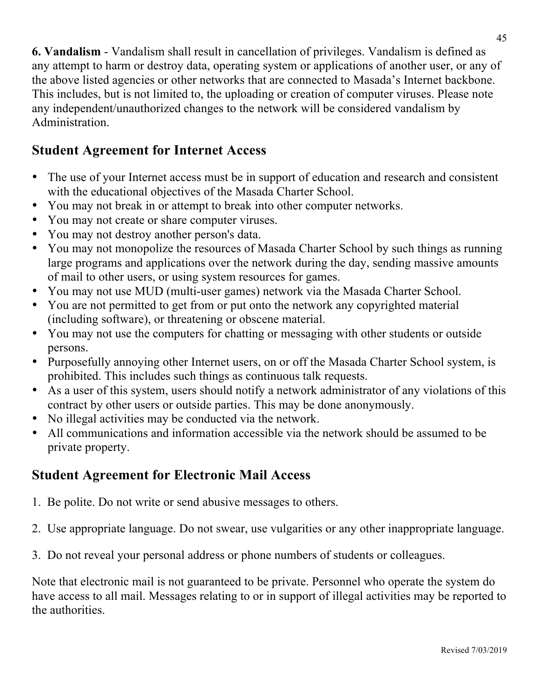**6. Vandalism** - Vandalism shall result in cancellation of privileges. Vandalism is defined as any attempt to harm or destroy data, operating system or applications of another user, or any of the above listed agencies or other networks that are connected to Masada's Internet backbone. This includes, but is not limited to, the uploading or creation of computer viruses. Please note any independent/unauthorized changes to the network will be considered vandalism by Administration.

## **Student Agreement for Internet Access**

- The use of your Internet access must be in support of education and research and consistent with the educational objectives of the Masada Charter School.
- You may not break in or attempt to break into other computer networks.
- You may not create or share computer viruses.
- You may not destroy another person's data.
- You may not monopolize the resources of Masada Charter School by such things as running large programs and applications over the network during the day, sending massive amounts of mail to other users, or using system resources for games.
- You may not use MUD (multi-user games) network via the Masada Charter School.
- You are not permitted to get from or put onto the network any copyrighted material (including software), or threatening or obscene material.
- You may not use the computers for chatting or messaging with other students or outside persons.
- Purposefully annoying other Internet users, on or off the Masada Charter School system, is prohibited. This includes such things as continuous talk requests.
- As a user of this system, users should notify a network administrator of any violations of this contract by other users or outside parties. This may be done anonymously.
- No illegal activities may be conducted via the network.
- All communications and information accessible via the network should be assumed to be private property.

## **Student Agreement for Electronic Mail Access**

- 1. Be polite. Do not write or send abusive messages to others.
- 2. Use appropriate language. Do not swear, use vulgarities or any other inappropriate language.
- 3. Do not reveal your personal address or phone numbers of students or colleagues.

Note that electronic mail is not guaranteed to be private. Personnel who operate the system do have access to all mail. Messages relating to or in support of illegal activities may be reported to the authorities.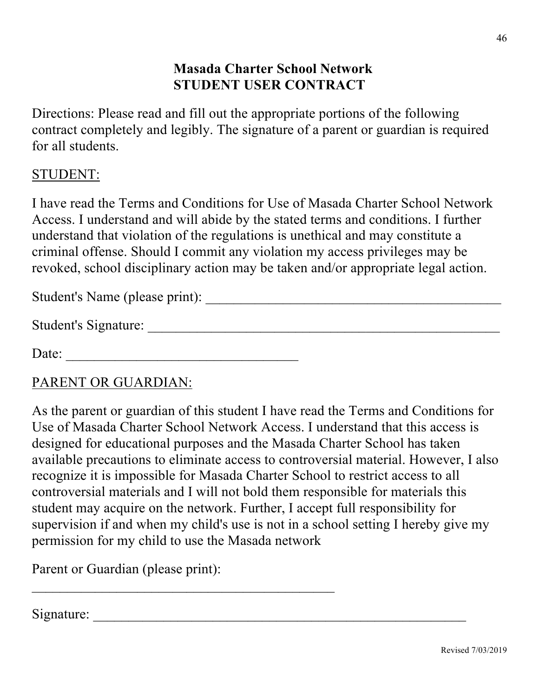## **Masada Charter School Network STUDENT USER CONTRACT**

Directions: Please read and fill out the appropriate portions of the following contract completely and legibly. The signature of a parent or guardian is required for all students.

#### STUDENT:

I have read the Terms and Conditions for Use of Masada Charter School Network Access. I understand and will abide by the stated terms and conditions. I further understand that violation of the regulations is unethical and may constitute a criminal offense. Should I commit any violation my access privileges may be revoked, school disciplinary action may be taken and/or appropriate legal action.

Student's Name (please print): \_\_\_\_\_\_\_\_\_\_\_\_\_\_\_\_\_\_\_\_\_\_\_\_\_\_\_\_\_\_\_\_\_\_\_\_\_\_\_\_\_\_

| <b>Student's Signature:</b> |  |
|-----------------------------|--|
|                             |  |

Date: \_\_\_\_\_\_\_\_\_\_\_\_\_\_\_\_\_\_\_\_\_\_\_\_\_\_\_\_\_\_\_\_\_

#### PARENT OR GUARDIAN:

As the parent or guardian of this student I have read the Terms and Conditions for Use of Masada Charter School Network Access. I understand that this access is designed for educational purposes and the Masada Charter School has taken available precautions to eliminate access to controversial material. However, I also recognize it is impossible for Masada Charter School to restrict access to all controversial materials and I will not bold them responsible for materials this student may acquire on the network. Further, I accept full responsibility for supervision if and when my child's use is not in a school setting I hereby give my permission for my child to use the Masada network

Parent or Guardian (please print):

 $\mathcal{L}_\text{max}$  and  $\mathcal{L}_\text{max}$  and  $\mathcal{L}_\text{max}$  and  $\mathcal{L}_\text{max}$  and  $\mathcal{L}_\text{max}$ 

Signature: \_\_\_\_\_\_\_\_\_\_\_\_\_\_\_\_\_\_\_\_\_\_\_\_\_\_\_\_\_\_\_\_\_\_\_\_\_\_\_\_\_\_\_\_\_\_\_\_\_\_\_\_\_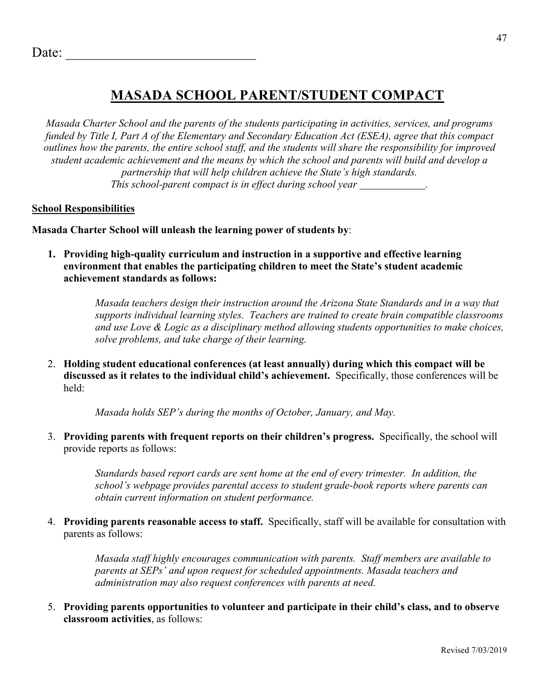## **MASADA SCHOOL PARENT/STUDENT COMPACT**

*Masada Charter School and the parents of the students participating in activities, services, and programs funded by Title I, Part A of the Elementary and Secondary Education Act (ESEA), agree that this compact outlines how the parents, the entire school staff, and the students will share the responsibility for improved student academic achievement and the means by which the school and parents will build and develop a partnership that will help children achieve the State's high standards. This school-parent compact is in effect during school year .*

#### **School Responsibilities**

**Masada Charter School will unleash the learning power of students by**:

**1. Providing high-quality curriculum and instruction in a supportive and effective learning environment that enables the participating children to meet the State's student academic achievement standards as follows:**

> *Masada teachers design their instruction around the Arizona State Standards and in a way that supports individual learning styles. Teachers are trained to create brain compatible classrooms and use Love & Logic as a disciplinary method allowing students opportunities to make choices, solve problems, and take charge of their learning.*

2. **Holding student educational conferences (at least annually) during which this compact will be discussed as it relates to the individual child's achievement.** Specifically, those conferences will be held:

*Masada holds SEP's during the months of October, January, and May.*

3. **Providing parents with frequent reports on their children's progress.** Specifically, the school will provide reports as follows:

> *Standards based report cards are sent home at the end of every trimester. In addition, the school's webpage provides parental access to student grade-book reports where parents can obtain current information on student performance.*

4. **Providing parents reasonable access to staff.** Specifically, staff will be available for consultation with parents as follows:

> *Masada staff highly encourages communication with parents. Staff members are available to parents at SEPs' and upon request for scheduled appointments. Masada teachers and administration may also request conferences with parents at need.*

5. **Providing parents opportunities to volunteer and participate in their child's class, and to observe classroom activities**, as follows: